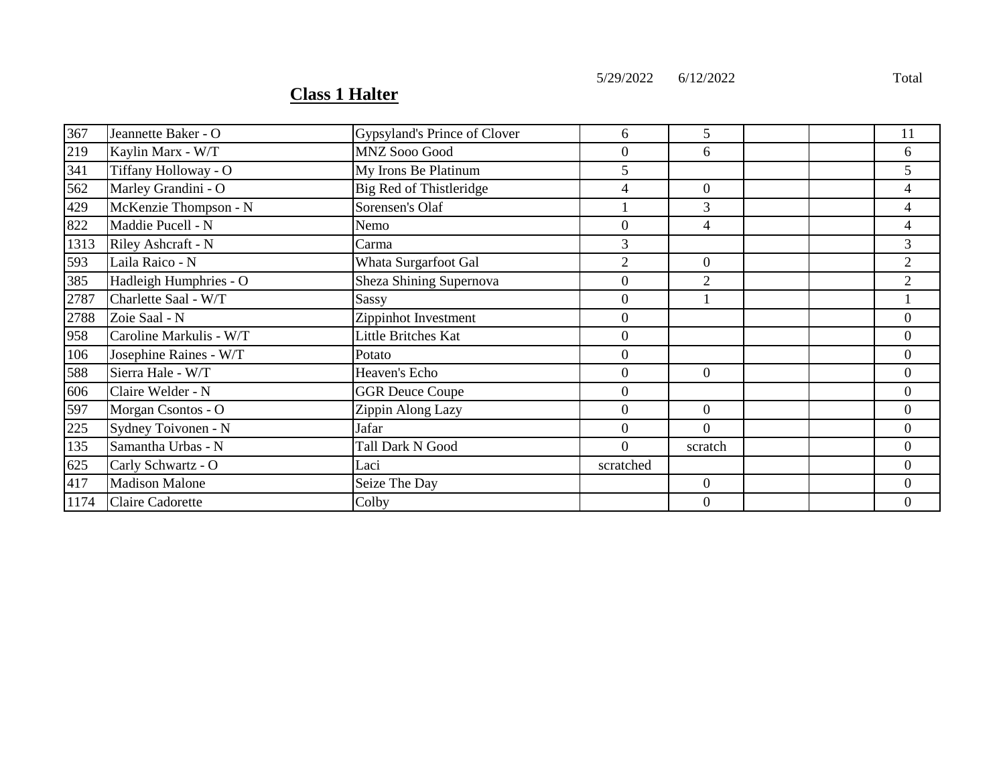5/29/2022 6/12/2022 Total

## **Class 1 Halter**

| 367  | Jeannette Baker - O     | Gypsyland's Prince of Clover | 6                | 5              |  | 11             |
|------|-------------------------|------------------------------|------------------|----------------|--|----------------|
| 219  | Kaylin Marx - W/T       | <b>MNZ Sooo Good</b>         | $\boldsymbol{0}$ | 6              |  | 6              |
| 341  | Tiffany Holloway - O    | My Irons Be Platinum         | 5                |                |  | 5              |
| 562  | Marley Grandini - O     | Big Red of Thistleridge      | 4                | $\Omega$       |  | 4              |
| 429  | McKenzie Thompson - N   | Sorensen's Olaf              |                  | 3              |  | 4              |
| 822  | Maddie Pucell - N       | Nemo                         | $\boldsymbol{0}$ | 4              |  | 4              |
| 1313 | Riley Ashcraft - N      | Carma                        | 3                |                |  | 3              |
| 593  | Laila Raico - N         | Whata Surgarfoot Gal         | $\overline{2}$   | 0              |  | 2              |
| 385  | Hadleigh Humphries - O  | Sheza Shining Supernova      | $\boldsymbol{0}$ | 2              |  | 2              |
| 2787 | Charlette Saal - W/T    | Sassy                        | $\overline{0}$   |                |  |                |
| 2788 | Zoie Saal - N           | Zippinhot Investment         | $\boldsymbol{0}$ |                |  | $\overline{0}$ |
| 958  | Caroline Markulis - W/T | Little Britches Kat          | $\boldsymbol{0}$ |                |  | $\overline{0}$ |
| 106  | Josephine Raines - W/T  | Potato                       | $\boldsymbol{0}$ |                |  | $\overline{0}$ |
| 588  | Sierra Hale - W/T       | Heaven's Echo                | $\overline{0}$   | $\Omega$       |  | $\overline{0}$ |
| 606  | Claire Welder - N       | <b>GGR Deuce Coupe</b>       | $\boldsymbol{0}$ |                |  | $\overline{0}$ |
| 597  | Morgan Csontos - O      | Zippin Along Lazy            | $\boldsymbol{0}$ | $\overline{0}$ |  | $\overline{0}$ |
| 225  | Sydney Toivonen - N     | Jafar                        | $\overline{0}$   | $\Omega$       |  | 0              |
| 135  | Samantha Urbas - N      | Tall Dark N Good             | $\Omega$         | scratch        |  | $\overline{0}$ |
| 625  | Carly Schwartz - O      | Laci                         | scratched        |                |  | $\Omega$       |
| 417  | <b>Madison Malone</b>   | Seize The Day                |                  | $\overline{0}$ |  | $\overline{0}$ |
| 1174 | <b>Claire Cadorette</b> | Colby                        |                  | 0              |  | 0              |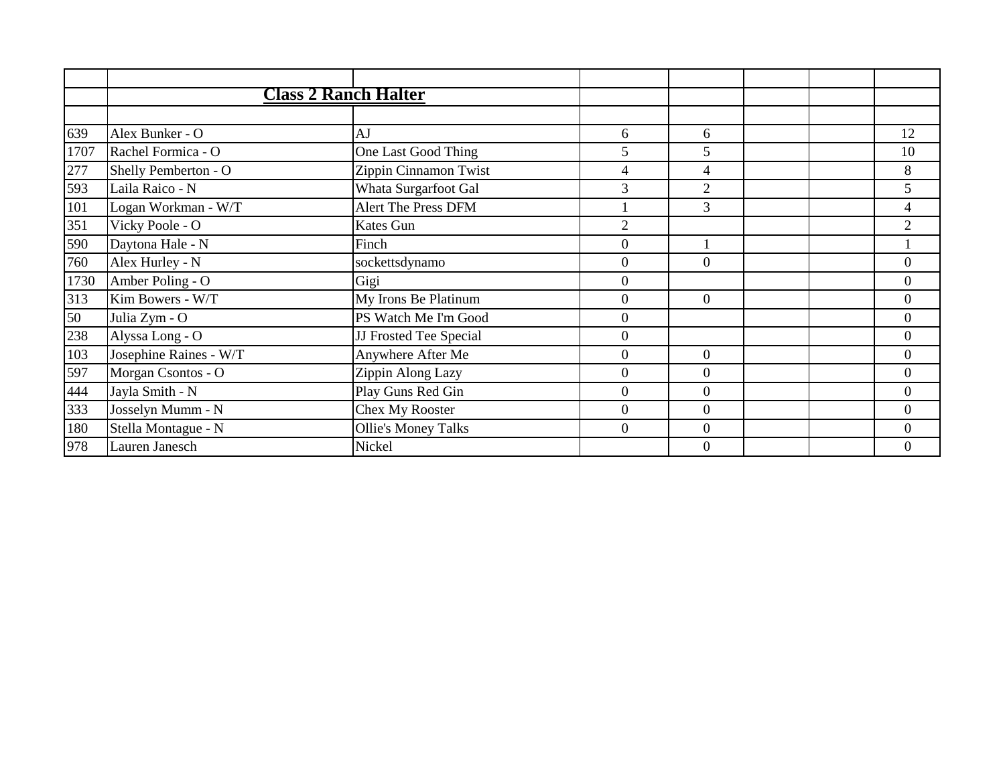|      | <b>Class 2 Ranch Halter</b> |                            |                |                |  |                  |
|------|-----------------------------|----------------------------|----------------|----------------|--|------------------|
|      |                             |                            |                |                |  |                  |
| 639  | Alex Bunker - O             | AJ                         | 6              | 6              |  | 12               |
| 1707 | Rachel Formica - O          | One Last Good Thing        | 5              | 5              |  | 10               |
| 277  | Shelly Pemberton - O        | Zippin Cinnamon Twist      | 4              | 4              |  | 8                |
| 593  | Laila Raico - N             | Whata Surgarfoot Gal       | 3              | $\overline{2}$ |  | 5                |
| 101  | Logan Workman - W/T         | <b>Alert The Press DFM</b> |                | 3              |  | 4                |
| 351  | Vicky Poole - O             | Kates Gun                  | $\overline{2}$ |                |  | $\overline{2}$   |
| 590  | Daytona Hale - N            | Finch                      | $\overline{0}$ |                |  |                  |
| 760  | Alex Hurley - N             | sockettsdynamo             | $\overline{0}$ | $\theta$       |  | $\boldsymbol{0}$ |
| 1730 | Amber Poling - O            | Gigi                       | $\Omega$       |                |  | $\overline{0}$   |
| 313  | Kim Bowers - W/T            | My Irons Be Platinum       | $\Omega$       | $\Omega$       |  | $\overline{0}$   |
| 50   | Julia Zym - O               | PS Watch Me I'm Good       | $\overline{0}$ |                |  | $\boldsymbol{0}$ |
| 238  | Alyssa Long - O             | JJ Frosted Tee Special     | $\overline{0}$ |                |  | $\boldsymbol{0}$ |
| 103  | Josephine Raines - W/T      | Anywhere After Me          | $\Omega$       | $\Omega$       |  | $\overline{0}$   |
| 597  | Morgan Csontos - O          | Zippin Along Lazy          | $\Omega$       | $\Omega$       |  | $\Omega$         |
| 444  | Jayla Smith - N             | Play Guns Red Gin          | $\Omega$       | $\mathbf{0}$   |  | $\overline{0}$   |
| 333  | Josselyn Mumm - N           | Chex My Rooster            | $\overline{0}$ | $\overline{0}$ |  | $\boldsymbol{0}$ |
| 180  | Stella Montague - N         | <b>Ollie's Money Talks</b> | $\overline{0}$ | $\theta$       |  | $\overline{0}$   |
| 978  | Lauren Janesch              | Nickel                     |                | $\Omega$       |  | $\Omega$         |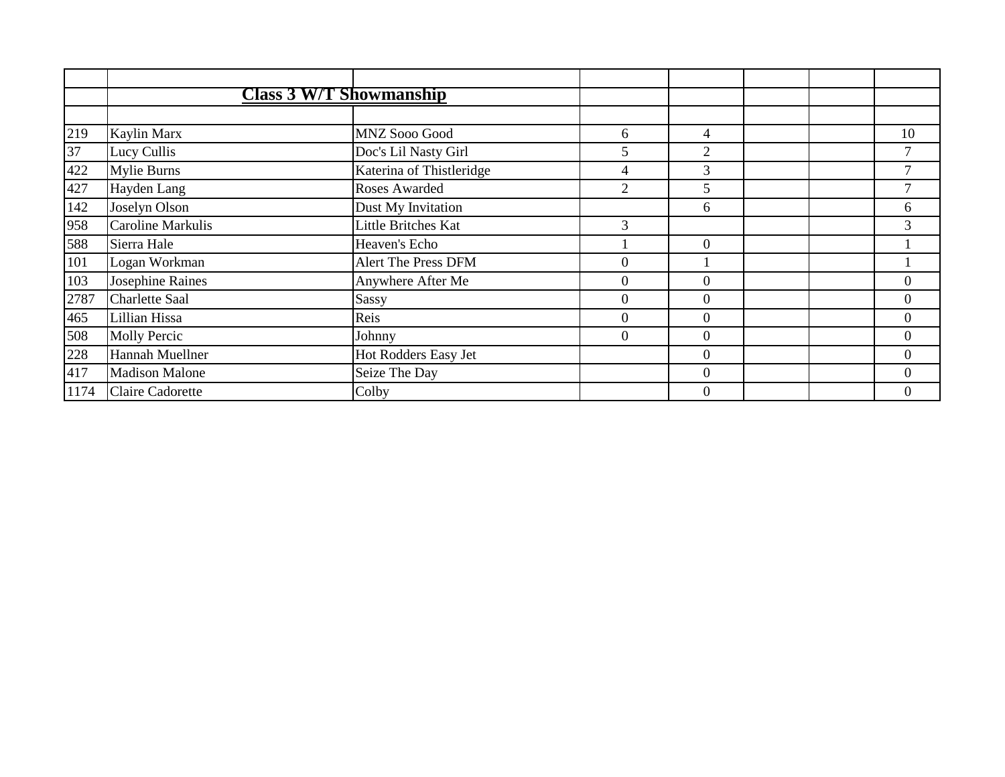|                   | <b>Class 3 W/T Showmanship</b> |                          |                |                  |  |                |
|-------------------|--------------------------------|--------------------------|----------------|------------------|--|----------------|
|                   |                                |                          |                |                  |  |                |
| 219               | Kaylin Marx                    | MNZ Sooo Good            | 6              | 4                |  | 10             |
| $\overline{37}$   | Lucy Cullis                    | Doc's Lil Nasty Girl     | 5              | $\overline{2}$   |  |                |
| 422               | <b>Mylie Burns</b>             | Katerina of Thistleridge | 4              | $\overline{3}$   |  | $\mathcal{I}$  |
| $\frac{427}{142}$ | Hayden Lang                    | Roses Awarded            | $\overline{2}$ | 5                |  |                |
|                   | Joselyn Olson                  | Dust My Invitation       |                | 6                |  | 6              |
| 958               | Caroline Markulis              | Little Britches Kat      | 3              |                  |  | 3              |
| 588               | Sierra Hale                    | Heaven's Echo            |                | $\boldsymbol{0}$ |  |                |
| 101               | Logan Workman                  | Alert The Press DFM      | $\theta$       |                  |  |                |
| 103               | Josephine Raines               | Anywhere After Me        | $\theta$       | $\overline{0}$   |  | $\overline{0}$ |
| 2787              | Charlette Saal                 | Sassy                    | $\overline{0}$ | $\overline{0}$   |  | $\overline{0}$ |
| 465               | Lillian Hissa                  | Reis                     | $\theta$       | $\theta$         |  | $\overline{0}$ |
| 508               | <b>Molly Percic</b>            | Johnny                   | $\overline{0}$ | $\Omega$         |  | $\theta$       |
| 228               | Hannah Muellner                | Hot Rodders Easy Jet     |                | $\overline{0}$   |  | $\theta$       |
| 417               | <b>Madison Malone</b>          | Seize The Day            |                | $\theta$         |  | $\Omega$       |
| 1174              | <b>Claire Cadorette</b>        | Colby                    |                | $\theta$         |  | $\overline{0}$ |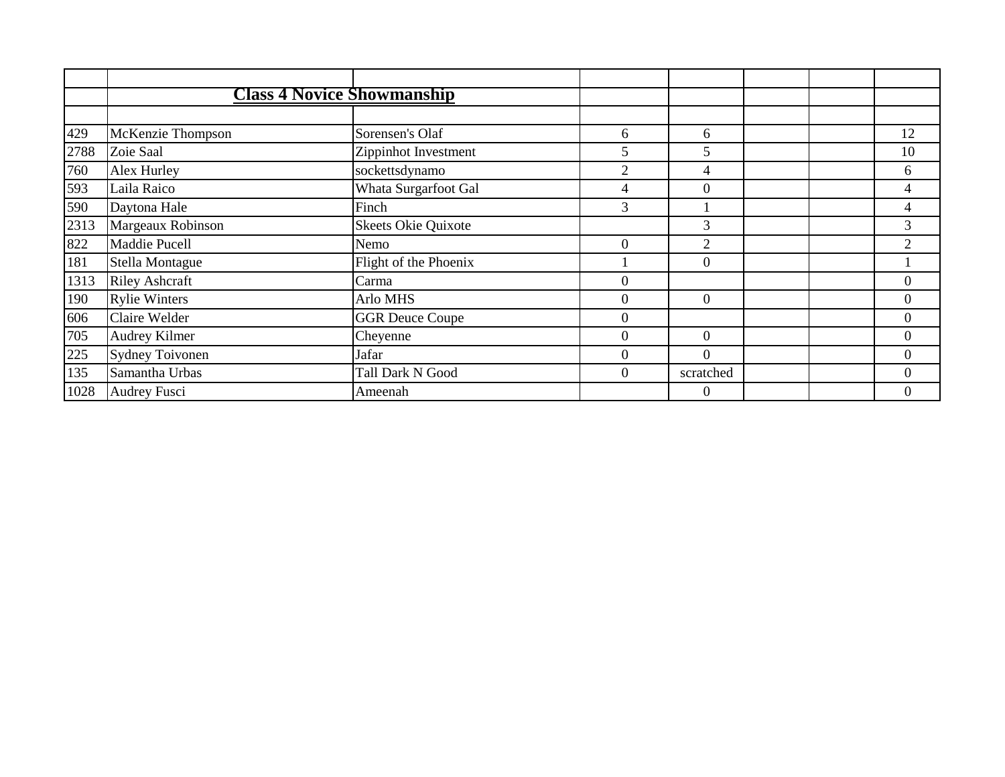|                   | <b>Class 4 Novice Showmanship</b> |                        |                  |                  |  |                |
|-------------------|-----------------------------------|------------------------|------------------|------------------|--|----------------|
|                   |                                   |                        |                  |                  |  |                |
| 429               | McKenzie Thompson                 | Sorensen's Olaf        | 6                | 6                |  | 12             |
| 2788              | Zoie Saal                         | Zippinhot Investment   | 5                | 5                |  | 10             |
| 760               | Alex Hurley                       | sockettsdynamo         | $\overline{2}$   | 4                |  | 6              |
| $\frac{593}{590}$ | Laila Raico                       | Whata Surgarfoot Gal   | 4                | $\theta$         |  | 4              |
|                   | Daytona Hale                      | Finch                  | 3                |                  |  | 4              |
| 2313              | Margeaux Robinson                 | Skeets Okie Quixote    |                  | 3                |  | 3              |
| 822               | Maddie Pucell                     | Nemo                   | $\theta$         | $\overline{2}$   |  | 2              |
| 181               | Stella Montague                   | Flight of the Phoenix  |                  | $\theta$         |  |                |
| 1313              | <b>Riley Ashcraft</b>             | Carma                  | $\boldsymbol{0}$ |                  |  | $\overline{0}$ |
| 190               | <b>Rylie Winters</b>              | Arlo MHS               | $\mathbf{0}$     | $\Omega$         |  | $\overline{0}$ |
| 606               | Claire Welder                     | <b>GGR Deuce Coupe</b> | $\theta$         |                  |  | $\overline{0}$ |
| 705               | Audrey Kilmer                     | Cheyenne               | $\theta$         | $\theta$         |  | $\theta$       |
| 225               | <b>Sydney Toivonen</b>            | Jafar                  | $\Omega$         | $\Omega$         |  | $\overline{0}$ |
| 135               | Samantha Urbas                    | Tall Dark N Good       | $\boldsymbol{0}$ | scratched        |  | $\Omega$       |
| 1028              | <b>Audrey Fusci</b>               | Ameenah                |                  | $\boldsymbol{0}$ |  | $\overline{0}$ |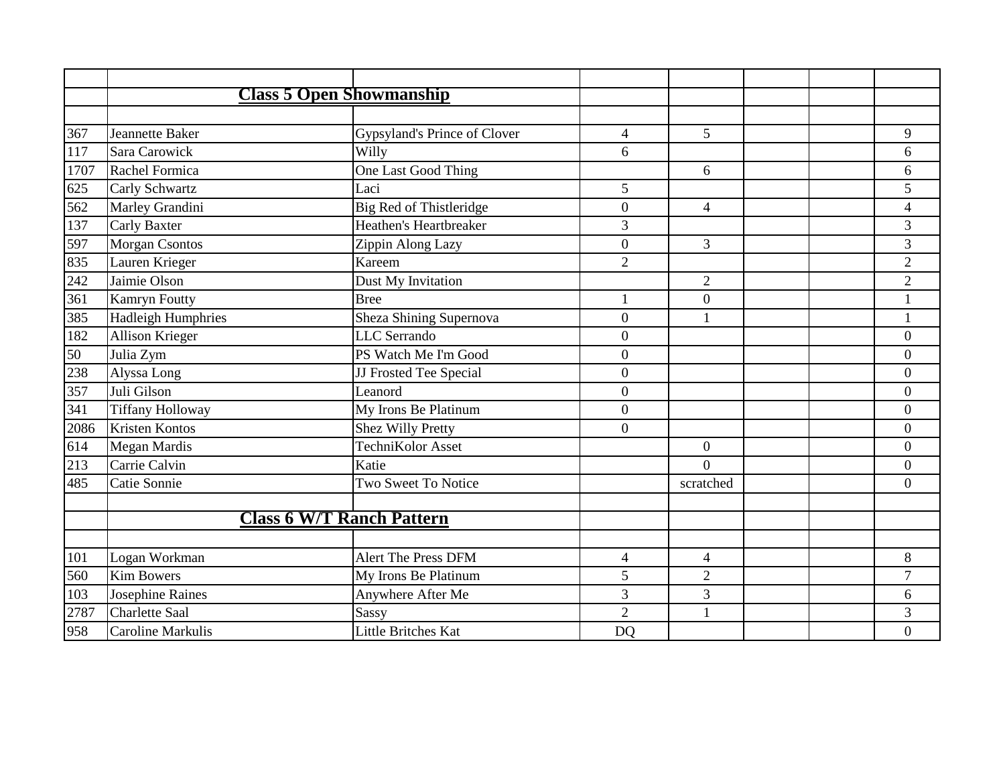|      |                           | <b>Class 5 Open Showmanship</b>  |                |                |  |                          |
|------|---------------------------|----------------------------------|----------------|----------------|--|--------------------------|
|      |                           |                                  |                |                |  |                          |
| 367  | Jeannette Baker           | Gypsyland's Prince of Clover     | $\overline{4}$ | 5              |  | 9                        |
| 117  | Sara Carowick             | Willy                            | 6              |                |  | 6                        |
| 1707 | Rachel Formica            | One Last Good Thing              |                | 6              |  | 6                        |
| 625  | Carly Schwartz            | Laci                             | 5              |                |  | 5                        |
| 562  | Marley Grandini           | Big Red of Thistleridge          | $\mathbf{0}$   | 4              |  | $\overline{\mathcal{A}}$ |
| 137  | <b>Carly Baxter</b>       | Heathen's Heartbreaker           | 3              |                |  | 3                        |
| 597  | <b>Morgan Csontos</b>     | Zippin Along Lazy                | $\overline{0}$ | 3              |  | 3                        |
| 835  | Lauren Krieger            | Kareem                           | $\overline{2}$ |                |  | $\overline{2}$           |
| 242  | Jaimie Olson              | Dust My Invitation               |                | $\overline{2}$ |  | $\overline{c}$           |
| 361  | Kamryn Foutty             | <b>Bree</b>                      | $\mathbf{1}$   | $\overline{0}$ |  |                          |
| 385  | <b>Hadleigh Humphries</b> | Sheza Shining Supernova          | $\overline{0}$ | $\mathbf{1}$   |  | $\mathbf{1}$             |
| 182  | Allison Krieger           | <b>LLC</b> Serrando              | $\overline{0}$ |                |  | $\overline{0}$           |
| 50   | Julia Zym                 | PS Watch Me I'm Good             | $\overline{0}$ |                |  | $\boldsymbol{0}$         |
| 238  | Alyssa Long               | JJ Frosted Tee Special           | $\overline{0}$ |                |  | $\overline{0}$           |
| 357  | Juli Gilson               | Leanord                          | $\overline{0}$ |                |  | $\overline{0}$           |
| 341  | <b>Tiffany Holloway</b>   | My Irons Be Platinum             | $\overline{0}$ |                |  | $\overline{0}$           |
| 2086 | Kristen Kontos            | Shez Willy Pretty                | $\overline{0}$ |                |  | $\overline{0}$           |
| 614  | Megan Mardis              | TechniKolor Asset                |                | $\overline{0}$ |  | $\overline{0}$           |
| 213  | Carrie Calvin             | Katie                            |                | $\Omega$       |  | $\overline{0}$           |
| 485  | Catie Sonnie              | Two Sweet To Notice              |                | scratched      |  | $\theta$                 |
|      |                           |                                  |                |                |  |                          |
|      |                           | <b>Class 6 W/T Ranch Pattern</b> |                |                |  |                          |
|      |                           |                                  |                |                |  |                          |
| 101  | Logan Workman             | <b>Alert The Press DFM</b>       | $\overline{4}$ | $\overline{4}$ |  | 8                        |
| 560  | <b>Kim Bowers</b>         | My Irons Be Platinum             | 5              | $\mathbf{2}$   |  | $\overline{7}$           |
| 103  | Josephine Raines          | Anywhere After Me                | 3              | 3              |  | 6                        |
| 2787 | <b>Charlette Saal</b>     | Sassy                            | $\overline{2}$ |                |  | 3                        |
| 958  | Caroline Markulis         | Little Britches Kat              | <b>DO</b>      |                |  | $\overline{0}$           |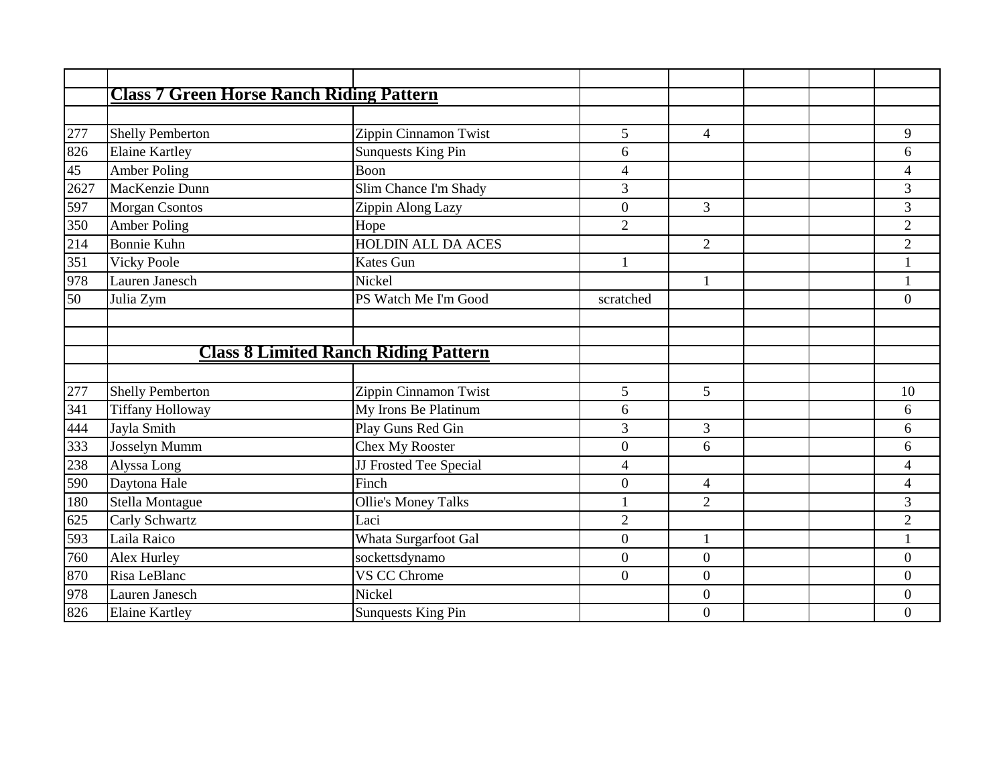|      | <b>Class 7 Green Horse Ranch Riding Pattern</b> |                            |                          |                  |  |                          |
|------|-------------------------------------------------|----------------------------|--------------------------|------------------|--|--------------------------|
|      |                                                 |                            |                          |                  |  |                          |
| 277  | <b>Shelly Pemberton</b>                         | Zippin Cinnamon Twist      | 5                        | $\overline{4}$   |  | 9                        |
| 826  | <b>Elaine Kartley</b>                           | <b>Sunquests King Pin</b>  | 6                        |                  |  | 6                        |
| 45   | <b>Amber Poling</b>                             | Boon                       | 4                        |                  |  | $\overline{\mathcal{L}}$ |
| 2627 | MacKenzie Dunn                                  | Slim Chance I'm Shady      | 3                        |                  |  | 3                        |
| 597  | Morgan Csontos                                  | Zippin Along Lazy          | $\overline{0}$           | $\overline{3}$   |  | 3                        |
| 350  | <b>Amber Poling</b>                             | Hope                       | $\overline{2}$           |                  |  | $\overline{c}$           |
| 214  | <b>Bonnie Kuhn</b>                              | <b>HOLDIN ALL DA ACES</b>  |                          | $\overline{2}$   |  | $\overline{2}$           |
| 351  | <b>Vicky Poole</b>                              | Kates Gun                  | $\mathbf{1}$             |                  |  |                          |
| 978  | Lauren Janesch                                  | Nickel                     |                          | $\mathbf{1}$     |  |                          |
| 50   | Julia Zym                                       | PS Watch Me I'm Good       | scratched                |                  |  | $\overline{0}$           |
|      |                                                 |                            |                          |                  |  |                          |
|      |                                                 |                            |                          |                  |  |                          |
|      | <b>Class 8 Limited Ranch Riding Pattern</b>     |                            |                          |                  |  |                          |
|      |                                                 |                            |                          |                  |  |                          |
| 277  | <b>Shelly Pemberton</b>                         | Zippin Cinnamon Twist      | 5                        | 5                |  | 10                       |
| 341  | <b>Tiffany Holloway</b>                         | My Irons Be Platinum       | 6                        |                  |  | 6                        |
| 444  | Jayla Smith                                     | Play Guns Red Gin          | 3                        | $\mathfrak{Z}$   |  | 6                        |
| 333  | Josselyn Mumm                                   | <b>Chex My Rooster</b>     | $\overline{0}$           | 6                |  | 6                        |
| 238  | Alyssa Long                                     | JJ Frosted Tee Special     | $\overline{\mathcal{L}}$ |                  |  | $\overline{4}$           |
| 590  | Daytona Hale                                    | Finch                      | $\boldsymbol{0}$         | $\overline{4}$   |  | $\overline{\mathcal{L}}$ |
| 180  | Stella Montague                                 | <b>Ollie's Money Talks</b> | $\mathbf{1}$             | $\overline{2}$   |  | 3                        |
| 625  | Carly Schwartz                                  | Laci                       | $\overline{2}$           |                  |  | $\overline{c}$           |
| 593  | Laila Raico                                     | Whata Surgarfoot Gal       | $\overline{0}$           | $\mathbf{1}$     |  |                          |
| 760  | Alex Hurley                                     | sockettsdynamo             | $\boldsymbol{0}$         | $\boldsymbol{0}$ |  | $\boldsymbol{0}$         |
| 870  | Risa LeBlanc                                    | VS CC Chrome               | $\overline{0}$           | $\boldsymbol{0}$ |  | $\overline{0}$           |
| 978  | Lauren Janesch                                  | Nickel                     |                          | $\boldsymbol{0}$ |  | $\boldsymbol{0}$         |
| 826  | <b>Elaine Kartley</b>                           | <b>Sunquests King Pin</b>  |                          | $\boldsymbol{0}$ |  | $\overline{0}$           |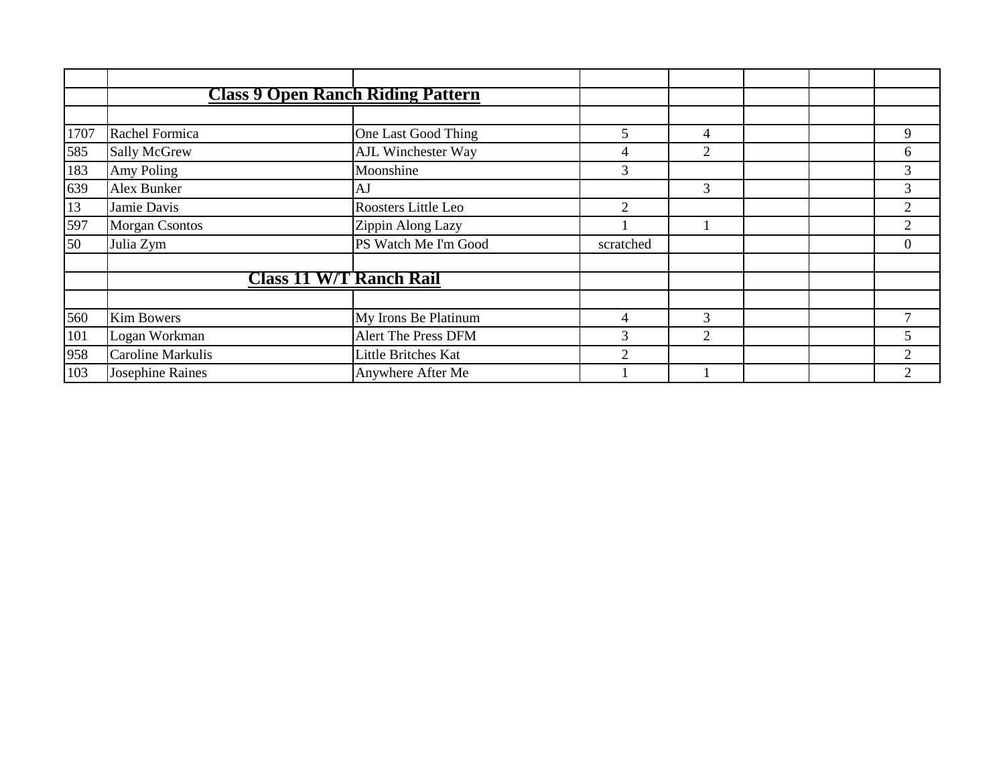|      | <b>Class 9 Open Ranch Riding Pattern</b> |                      |           |                |  |                |
|------|------------------------------------------|----------------------|-----------|----------------|--|----------------|
|      |                                          |                      |           |                |  |                |
| 1707 | Rachel Formica                           | One Last Good Thing  | 5.        | $\overline{4}$ |  | 9              |
| 585  | <b>Sally McGrew</b>                      | AJL Winchester Way   | 4         | 2              |  | 6              |
| 183  | Amy Poling                               | Moonshine            | 3         |                |  | 3              |
| 639  | Alex Bunker                              | AJ                   |           | 3              |  | 3              |
| 13   | Jamie Davis                              | Roosters Little Leo  | 2         |                |  | $\overline{2}$ |
| 597  | <b>Morgan Csontos</b>                    | Zippin Along Lazy    |           |                |  | $\overline{2}$ |
| 50   | Julia Zym                                | PS Watch Me I'm Good | scratched |                |  | $\overline{0}$ |
|      |                                          |                      |           |                |  |                |
|      | <b>Class 11 W/T Ranch Rail</b>           |                      |           |                |  |                |
|      |                                          |                      |           |                |  |                |
| 560  | Kim Bowers                               | My Irons Be Platinum | 4         | 3              |  |                |
| 101  | Logan Workman                            | Alert The Press DFM  | 3         | 2              |  | 5              |
| 958  | Caroline Markulis                        | Little Britches Kat  | 2         |                |  | 2              |
| 103  | Josephine Raines                         | Anywhere After Me    |           |                |  | $\overline{2}$ |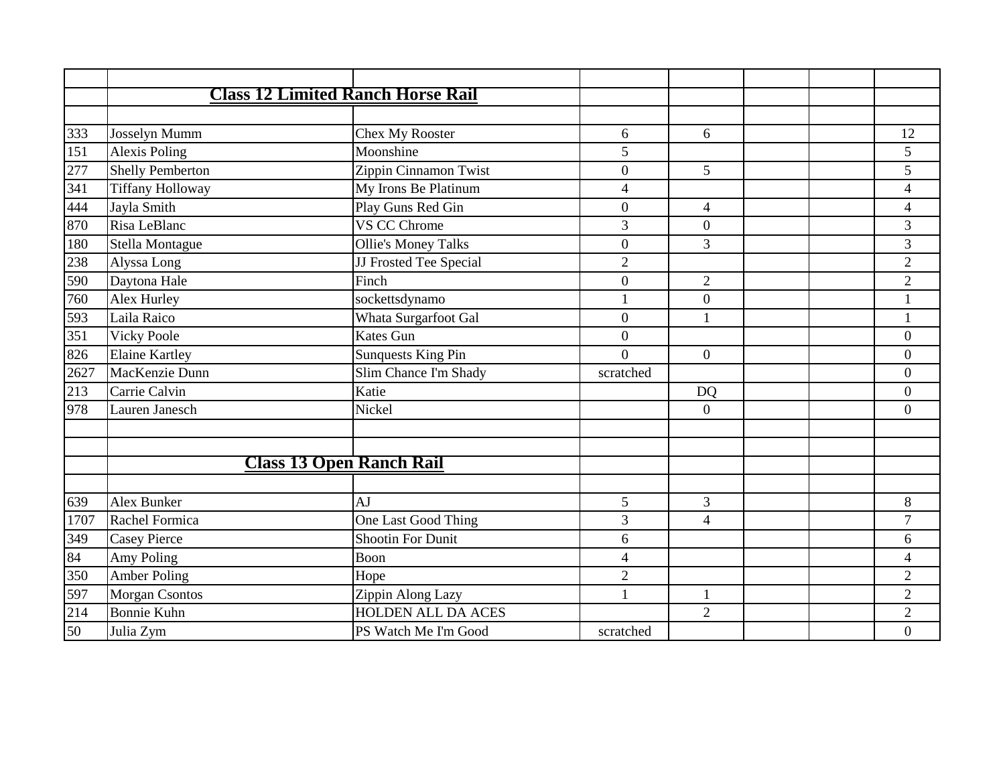|      | <b>Class 12 Limited Ranch Horse Rail</b> |                            |                          |                  |  |                          |
|------|------------------------------------------|----------------------------|--------------------------|------------------|--|--------------------------|
|      |                                          |                            |                          |                  |  |                          |
| 333  | Josselyn Mumm                            | Chex My Rooster            | 6                        | 6                |  | 12                       |
| 151  | <b>Alexis Poling</b>                     | Moonshine                  | 5                        |                  |  | 5                        |
| 277  | <b>Shelly Pemberton</b>                  | Zippin Cinnamon Twist      | $\boldsymbol{0}$         | 5                |  | 5                        |
| 341  | <b>Tiffany Holloway</b>                  | My Irons Be Platinum       | 4                        |                  |  | $\overline{\mathcal{L}}$ |
| 444  | Jayla Smith                              | Play Guns Red Gin          | $\boldsymbol{0}$         | 4                |  | $\overline{\mathcal{A}}$ |
| 870  | Risa LeBlanc                             | VS CC Chrome               | 3                        | $\overline{0}$   |  | 3                        |
| 180  | Stella Montague                          | <b>Ollie's Money Talks</b> | $\overline{0}$           | $\mathfrak{Z}$   |  | 3                        |
| 238  | Alyssa Long                              | JJ Frosted Tee Special     | $\overline{2}$           |                  |  | $\overline{2}$           |
| 590  | Daytona Hale                             | Finch                      | $\overline{0}$           | $\overline{2}$   |  | $\overline{2}$           |
| 760  | Alex Hurley                              | sockettsdynamo             | 1                        | $\boldsymbol{0}$ |  |                          |
| 593  | Laila Raico                              | Whata Surgarfoot Gal       | $\boldsymbol{0}$         | 1                |  | $\mathbf{1}$             |
| 351  | <b>Vicky Poole</b>                       | <b>Kates Gun</b>           | $\overline{0}$           |                  |  | $\overline{0}$           |
| 826  | <b>Elaine Kartley</b>                    | <b>Sunquests King Pin</b>  | $\Omega$                 | $\mathbf{0}$     |  | $\boldsymbol{0}$         |
| 2627 | MacKenzie Dunn                           | Slim Chance I'm Shady      | scratched                |                  |  | $\boldsymbol{0}$         |
| 213  | Carrie Calvin                            | Katie                      |                          | <b>DQ</b>        |  | $\overline{0}$           |
| 978  | Lauren Janesch                           | Nickel                     |                          | $\theta$         |  | $\overline{0}$           |
|      |                                          |                            |                          |                  |  |                          |
|      |                                          |                            |                          |                  |  |                          |
|      | <b>Class 13 Open Ranch Rail</b>          |                            |                          |                  |  |                          |
|      |                                          |                            |                          |                  |  |                          |
| 639  | Alex Bunker                              | AJ                         | 5                        | 3                |  | 8                        |
| 1707 | Rachel Formica                           | One Last Good Thing        | 3                        | $\overline{4}$   |  | $\overline{7}$           |
| 349  | <b>Casey Pierce</b>                      | <b>Shootin For Dunit</b>   | 6                        |                  |  | 6                        |
| 84   | Amy Poling                               | Boon                       | $\overline{\mathcal{A}}$ |                  |  | $\overline{\mathcal{L}}$ |
| 350  | <b>Amber Poling</b>                      | Hope                       | $\overline{2}$           |                  |  | $\overline{2}$           |
| 597  | Morgan Csontos                           | Zippin Along Lazy          | $\mathbf{1}$             | $\mathbf{1}$     |  | $\overline{2}$           |
| 214  | <b>Bonnie Kuhn</b>                       | <b>HOLDEN ALL DA ACES</b>  |                          | $\overline{2}$   |  | $\overline{c}$           |
| 50   | Julia Zym                                | PS Watch Me I'm Good       | scratched                |                  |  | $\overline{0}$           |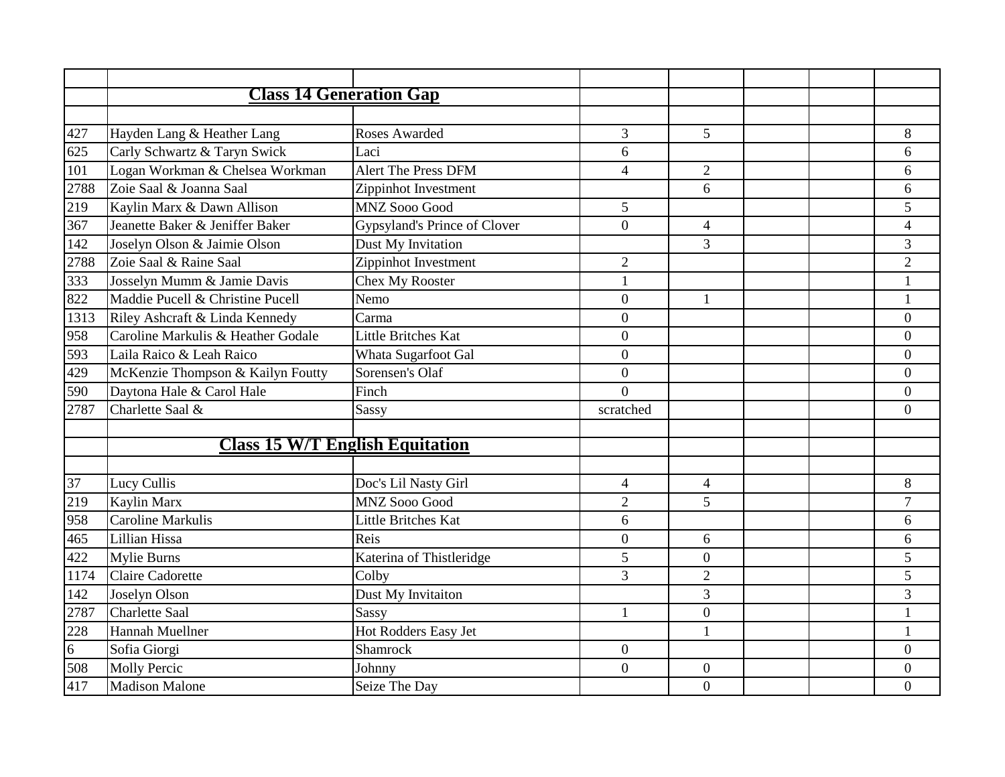|      | <b>Class 14 Generation Gap</b>         |                              |                  |                  |  |                  |
|------|----------------------------------------|------------------------------|------------------|------------------|--|------------------|
|      |                                        |                              |                  |                  |  |                  |
| 427  | Hayden Lang & Heather Lang             | Roses Awarded                | $\overline{3}$   | 5                |  | 8                |
| 625  | Carly Schwartz & Taryn Swick           | Laci                         | 6                |                  |  | 6                |
| 101  | Logan Workman & Chelsea Workman        | <b>Alert The Press DFM</b>   | $\overline{4}$   | $\overline{2}$   |  | 6                |
| 2788 | Zoie Saal & Joanna Saal                | Zippinhot Investment         |                  | 6                |  | 6                |
| 219  | Kaylin Marx & Dawn Allison             | <b>MNZ Sooo Good</b>         | 5                |                  |  | 5                |
| 367  | Jeanette Baker & Jeniffer Baker        | Gypsyland's Prince of Clover | $\Omega$         | $\overline{4}$   |  | $\overline{4}$   |
| 142  | Joselyn Olson & Jaimie Olson           | Dust My Invitation           |                  | 3                |  | 3                |
| 2788 | Zoie Saal & Raine Saal                 | Zippinhot Investment         | $\overline{2}$   |                  |  | $\overline{2}$   |
| 333  | Josselyn Mumm & Jamie Davis            | Chex My Rooster              | $\mathbf{1}$     |                  |  | $\mathbf{1}$     |
| 822  | Maddie Pucell & Christine Pucell       | Nemo                         | $\overline{0}$   | $\mathbf{1}$     |  | $\mathbf{1}$     |
| 1313 | Riley Ashcraft & Linda Kennedy         | Carma                        | $\overline{0}$   |                  |  | $\overline{0}$   |
| 958  | Caroline Markulis & Heather Godale     | <b>Little Britches Kat</b>   | $\overline{0}$   |                  |  | $\boldsymbol{0}$ |
| 593  | Laila Raico & Leah Raico               | Whata Sugarfoot Gal          | $\boldsymbol{0}$ |                  |  | $\boldsymbol{0}$ |
| 429  | McKenzie Thompson & Kailyn Foutty      | Sorensen's Olaf              | $\mathbf{0}$     |                  |  | $\boldsymbol{0}$ |
| 590  | Daytona Hale & Carol Hale              | Finch                        | $\overline{0}$   |                  |  | $\overline{0}$   |
| 2787 | Charlette Saal &                       | Sassy                        | scratched        |                  |  | $\overline{0}$   |
|      |                                        |                              |                  |                  |  |                  |
|      | <b>Class 15 W/T English Equitation</b> |                              |                  |                  |  |                  |
|      |                                        |                              |                  |                  |  |                  |
| 37   | Lucy Cullis                            | Doc's Lil Nasty Girl         | $\overline{4}$   | $\overline{4}$   |  | 8                |
| 219  | Kaylin Marx                            | <b>MNZ Sooo Good</b>         | $\overline{2}$   | 5                |  | $\overline{7}$   |
| 958  | Caroline Markulis                      | Little Britches Kat          | 6                |                  |  | 6                |
| 465  | Lillian Hissa                          | Reis                         | $\boldsymbol{0}$ | 6                |  | 6                |
| 422  | Mylie Burns                            | Katerina of Thistleridge     | 5                | $\mathbf{0}$     |  | 5                |
| 1174 | <b>Claire Cadorette</b>                | Colby                        | 3                | $\overline{2}$   |  | 5                |
| 142  | Joselyn Olson                          | Dust My Invitaiton           |                  | 3                |  | 3                |
| 2787 | <b>Charlette Saal</b>                  | Sassy                        | $\mathbf{1}$     | $\overline{0}$   |  | $\mathbf{1}$     |
| 228  | <b>Hannah Muellner</b>                 | Hot Rodders Easy Jet         |                  | $\mathbf{1}$     |  | $\mathbf{1}$     |
| 6    | Sofia Giorgi                           | <b>Shamrock</b>              | $\overline{0}$   |                  |  | $\overline{0}$   |
| 508  | <b>Molly Percic</b>                    | Johnny                       | $\mathbf{0}$     | $\boldsymbol{0}$ |  | $\boldsymbol{0}$ |
| 417  | <b>Madison Malone</b>                  | Seize The Day                |                  | $\mathbf{0}$     |  | $\overline{0}$   |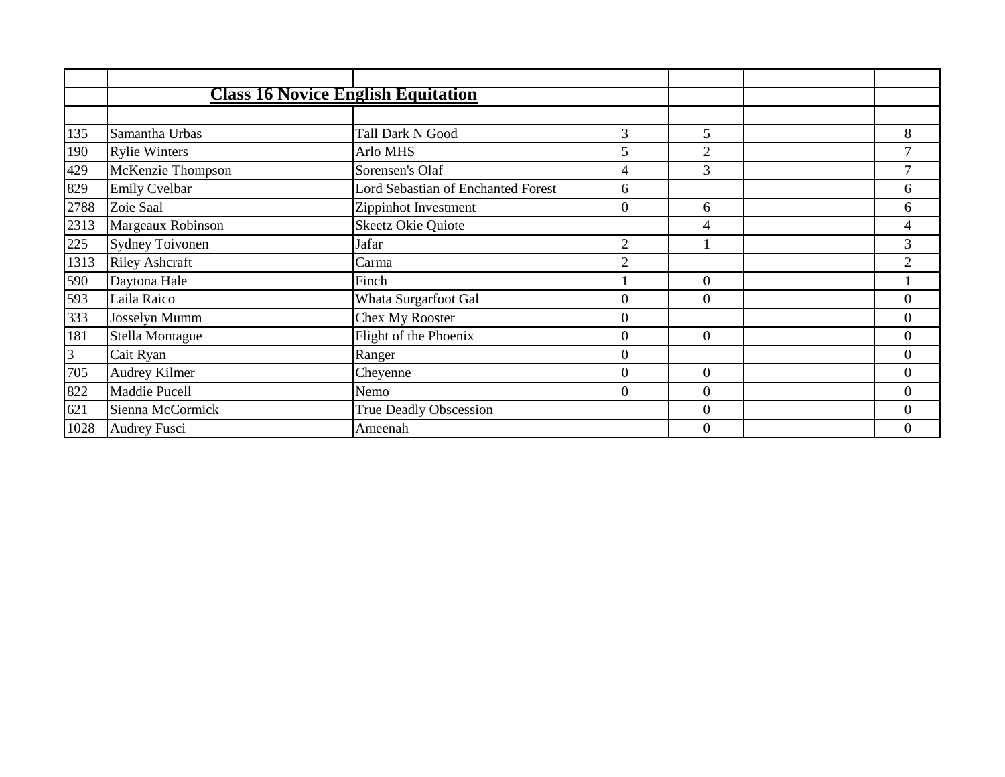|                | <b>Class 16 Novice English Equitation</b> |                                    |                  |                |  |                  |
|----------------|-------------------------------------------|------------------------------------|------------------|----------------|--|------------------|
|                |                                           |                                    |                  |                |  |                  |
| 135            | Samantha Urbas                            | Tall Dark N Good                   | 3                | 5              |  | 8                |
| 190            | <b>Rylie Winters</b>                      | Arlo MHS                           | 5                | $\overline{2}$ |  | $\tau$           |
| 429            | McKenzie Thompson                         | Sorensen's Olaf                    | 4                | $\overline{3}$ |  | $\tau$           |
| 829            | <b>Emily Cvelbar</b>                      | Lord Sebastian of Enchanted Forest | 6                |                |  | 6                |
| 2788           | Zoie Saal                                 | Zippinhot Investment               | $\overline{0}$   | 6              |  | 6                |
| 2313           | Margeaux Robinson                         | <b>Skeetz Okie Quiote</b>          |                  | 4              |  | $\overline{4}$   |
| 225            | <b>Sydney Toivonen</b>                    | Jafar                              | 2                |                |  | 3                |
| 1313           | <b>Riley Ashcraft</b>                     | Carma                              | 2                |                |  | $\overline{2}$   |
| 590            | Daytona Hale                              | Finch                              |                  | $\overline{0}$ |  |                  |
| 593            | Laila Raico                               | Whata Surgarfoot Gal               | $\Omega$         | $\Omega$       |  | $\overline{0}$   |
| 333            | Josselyn Mumm                             | Chex My Rooster                    | $\overline{0}$   |                |  | $\boldsymbol{0}$ |
| 181            | Stella Montague                           | Flight of the Phoenix              | $\overline{0}$   | $\Omega$       |  | $\overline{0}$   |
| $\mathfrak{Z}$ | Cait Ryan                                 | Ranger                             | $\overline{0}$   |                |  | $\overline{0}$   |
| 705            | Audrey Kilmer                             | Cheyenne                           | $\boldsymbol{0}$ | $\mathbf{0}$   |  | $\overline{0}$   |
| 822            | Maddie Pucell                             | Nemo                               | $\boldsymbol{0}$ | $\theta$       |  | $\boldsymbol{0}$ |
| 621            | Sienna McCormick                          | True Deadly Obscession             |                  | $\overline{0}$ |  | $\overline{0}$   |
| 1028           | <b>Audrey Fusci</b>                       | Ameenah                            |                  | $\Omega$       |  | $\theta$         |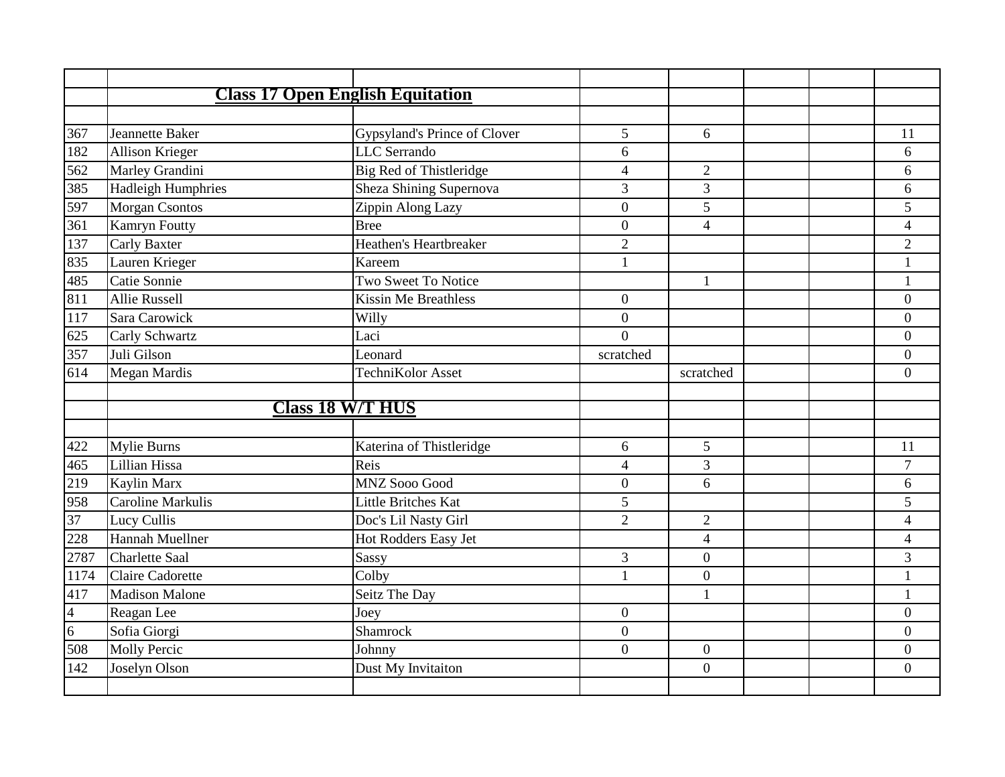|      |                           | <b>Class 17 Open English Equitation</b> |                |                |                |
|------|---------------------------|-----------------------------------------|----------------|----------------|----------------|
|      |                           |                                         |                |                |                |
| 367  | Jeannette Baker           | Gypsyland's Prince of Clover            | 5              | 6              | 11             |
| 182  | Allison Krieger           | <b>LLC</b> Serrando                     | 6              |                | 6              |
| 562  | Marley Grandini           | <b>Big Red of Thistleridge</b>          | $\overline{4}$ | $\overline{2}$ | 6              |
| 385  | <b>Hadleigh Humphries</b> | Sheza Shining Supernova                 | $\overline{3}$ | 3              | 6              |
| 597  | <b>Morgan Csontos</b>     | Zippin Along Lazy                       | $\overline{0}$ | 5              | 5              |
| 361  | <b>Kamryn Foutty</b>      | <b>Bree</b>                             | $\overline{0}$ | $\overline{4}$ | $\overline{4}$ |
| 137  | <b>Carly Baxter</b>       | <b>Heathen's Heartbreaker</b>           | $\overline{2}$ |                | $\overline{2}$ |
| 835  | Lauren Krieger            | Kareem                                  | $\mathbf{1}$   |                | $\mathbf{1}$   |
| 485  | Catie Sonnie              | <b>Two Sweet To Notice</b>              |                | $\mathbf{1}$   | $\mathbf{1}$   |
| 811  | <b>Allie Russell</b>      | <b>Kissin Me Breathless</b>             | $\overline{0}$ |                | $\overline{0}$ |
| 117  | Sara Carowick             | Willy                                   | $\overline{0}$ |                | $\overline{0}$ |
| 625  | Carly Schwartz            | Laci                                    | $\overline{0}$ |                | $\overline{0}$ |
| 357  | Juli Gilson               | Leonard                                 | scratched      |                | $\overline{0}$ |
| 614  | <b>Megan Mardis</b>       | TechniKolor Asset                       |                | scratched      | $\Omega$       |
|      |                           |                                         |                |                |                |
|      |                           | <b>Class 18 W/T HUS</b>                 |                |                |                |
|      |                           |                                         |                |                |                |
| 422  | <b>Mylie Burns</b>        | Katerina of Thistleridge                | 6              | 5              | 11             |
| 465  | Lillian Hissa             | Reis                                    | $\overline{4}$ | 3              | $\overline{7}$ |
| 219  | Kaylin Marx               | MNZ Sooo Good                           | $\theta$       | 6              | 6              |
| 958  | Caroline Markulis         | Little Britches Kat                     | 5              |                | 5              |
| 37   | Lucy Cullis               | Doc's Lil Nasty Girl                    | $\overline{2}$ | $\overline{2}$ | $\overline{4}$ |
| 228  | Hannah Muellner           | Hot Rodders Easy Jet                    |                | $\overline{4}$ | $\overline{4}$ |
| 2787 | <b>Charlette Saal</b>     | Sassy                                   | 3              | $\overline{0}$ | 3              |
| 1174 | <b>Claire Cadorette</b>   | Colby                                   | $\mathbf{1}$   | $\mathbf{0}$   | $\mathbf{1}$   |
| 417  | <b>Madison Malone</b>     | Seitz The Day                           |                | $\mathbf{1}$   | $\mathbf{1}$   |
| 4    | Reagan Lee                | Joey                                    | $\overline{0}$ |                | $\overline{0}$ |
| 6    | Sofia Giorgi              | Shamrock                                | $\overline{0}$ |                | $\overline{0}$ |
| 508  | <b>Molly Percic</b>       | Johnny                                  | $\overline{0}$ | $\overline{0}$ | $\overline{0}$ |
|      | Joselyn Olson             | Dust My Invitaiton                      |                | $\overline{0}$ | $\overline{0}$ |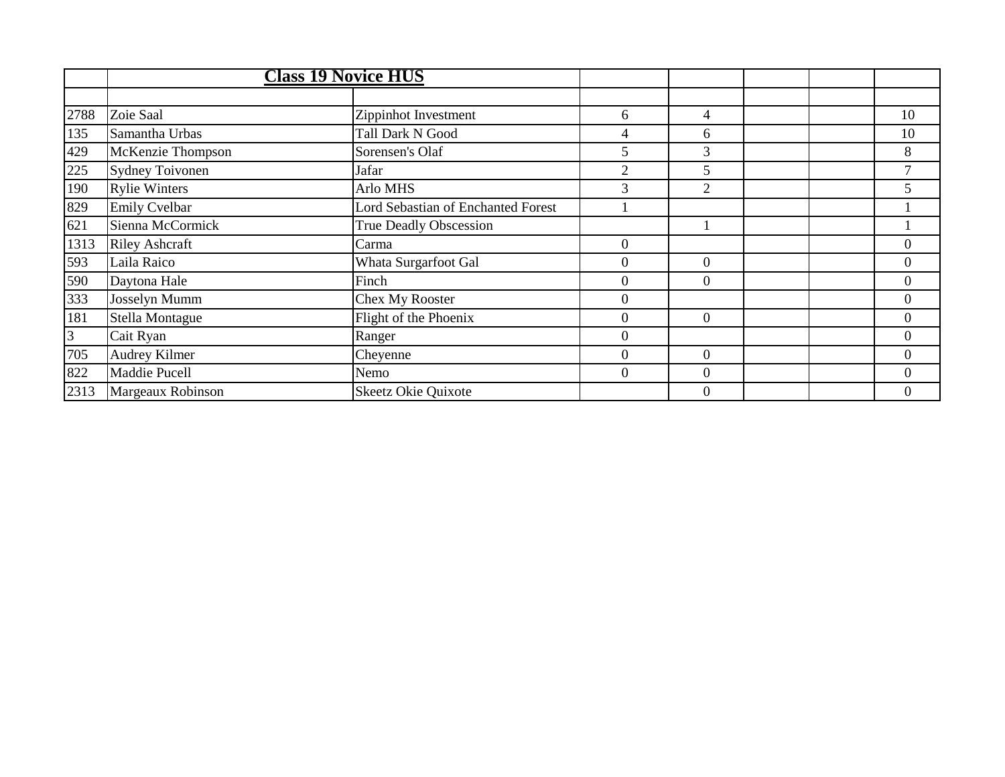|                |                        | <b>Class 19 Novice HUS</b>         |                  |                |  |                  |
|----------------|------------------------|------------------------------------|------------------|----------------|--|------------------|
|                |                        |                                    |                  |                |  |                  |
| 2788           | Zoie Saal              | Zippinhot Investment               | 6                | 4              |  | 10               |
| 135            | Samantha Urbas         | Tall Dark N Good                   | 4                | 6              |  | 10               |
| 429            | McKenzie Thompson      | Sorensen's Olaf                    | 5                | 3              |  | 8                |
| 225            | <b>Sydney Toivonen</b> | Jafar                              | 2                | 5              |  |                  |
| 190            | <b>Rylie Winters</b>   | Arlo MHS                           | 3                | $\overline{2}$ |  | 5                |
| 829            | <b>Emily Cvelbar</b>   | Lord Sebastian of Enchanted Forest |                  |                |  |                  |
| 621            | Sienna McCormick       | True Deadly Obscession             |                  |                |  |                  |
| 1313           | <b>Riley Ashcraft</b>  | Carma                              | 0                |                |  | $\overline{0}$   |
| 593            | Laila Raico            | Whata Surgarfoot Gal               | $\overline{0}$   | $\theta$       |  | $\boldsymbol{0}$ |
| 590            | Daytona Hale           | Finch                              | $\overline{0}$   | $\theta$       |  | $\overline{0}$   |
| 333            | Josselyn Mumm          | Chex My Rooster                    | $\overline{0}$   |                |  | $\overline{0}$   |
| 181            | Stella Montague        | Flight of the Phoenix              | $\Omega$         | $\Omega$       |  | $\Omega$         |
| $\overline{3}$ | Cait Ryan              | Ranger                             | $\overline{0}$   |                |  | $\overline{0}$   |
| 705            | Audrey Kilmer          | Cheyenne                           | $\Omega$         | $\Omega$       |  | $\theta$         |
| 822            | Maddie Pucell          | Nemo                               | $\boldsymbol{0}$ | $\theta$       |  | $\Omega$         |
| 2313           | Margeaux Robinson      | Skeetz Okie Quixote                |                  | $\theta$       |  | $\overline{0}$   |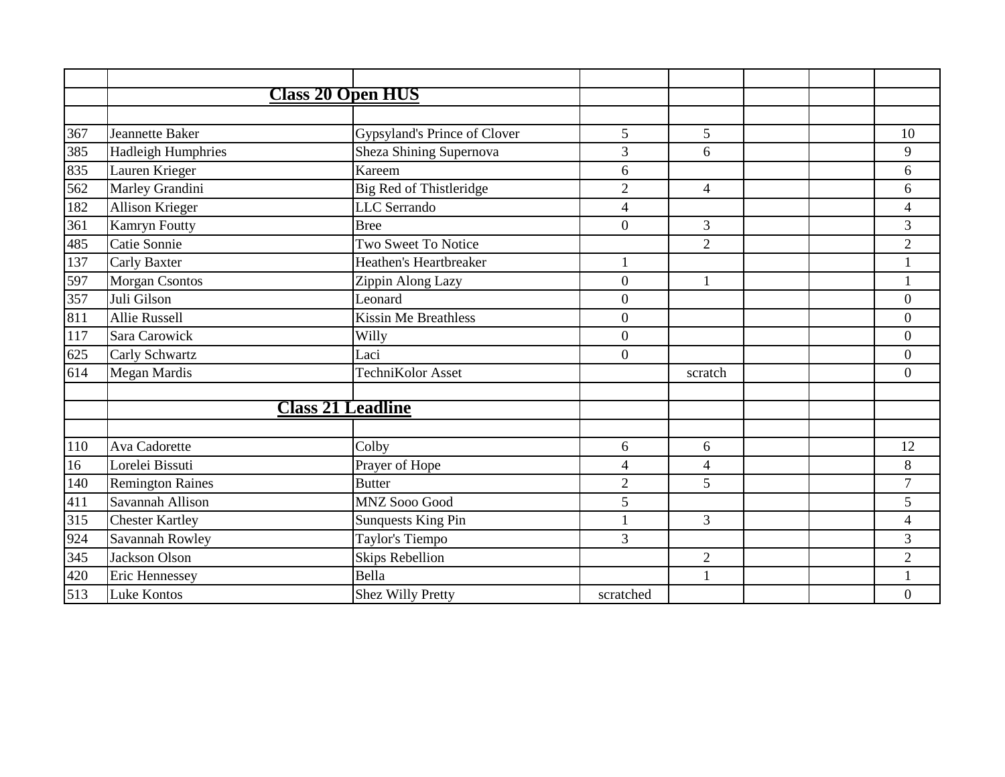|     | <b>Class 20 Open HUS</b>  |                              |                  |                |  |                          |
|-----|---------------------------|------------------------------|------------------|----------------|--|--------------------------|
|     |                           |                              |                  |                |  |                          |
| 367 | Jeannette Baker           | Gypsyland's Prince of Clover | 5                | 5              |  | 10                       |
| 385 | <b>Hadleigh Humphries</b> | Sheza Shining Supernova      | 3                | 6              |  | 9                        |
| 835 | Lauren Krieger            | Kareem                       | 6                |                |  | 6                        |
| 562 | Marley Grandini           | Big Red of Thistleridge      | $\overline{2}$   | $\overline{4}$ |  | 6                        |
| 182 | Allison Krieger           | <b>LLC</b> Serrando          | 4                |                |  | $\overline{4}$           |
| 361 | Kamryn Foutty             | <b>Bree</b>                  | $\overline{0}$   | $\mathfrak{Z}$ |  | 3                        |
| 485 | Catie Sonnie              | Two Sweet To Notice          |                  | $\overline{2}$ |  | $\overline{2}$           |
| 137 | Carly Baxter              | Heathen's Heartbreaker       |                  |                |  |                          |
| 597 | Morgan Csontos            | Zippin Along Lazy            | $\overline{0}$   | $\mathbf{1}$   |  | $\mathbf{1}$             |
| 357 | Juli Gilson               | Leonard                      | $\boldsymbol{0}$ |                |  | $\overline{0}$           |
| 811 | Allie Russell             | <b>Kissin Me Breathless</b>  | $\boldsymbol{0}$ |                |  | $\boldsymbol{0}$         |
| 117 | Sara Carowick             | Willy                        | $\overline{0}$   |                |  | $\overline{0}$           |
| 625 | Carly Schwartz            | Laci                         | $\overline{0}$   |                |  | $\overline{0}$           |
| 614 | <b>Megan Mardis</b>       | TechniKolor Asset            |                  | scratch        |  | $\overline{0}$           |
|     |                           |                              |                  |                |  |                          |
|     | <b>Class 21 Leadline</b>  |                              |                  |                |  |                          |
|     |                           |                              |                  |                |  |                          |
| 110 | Ava Cadorette             | Colby                        | 6                | 6              |  | 12                       |
| 16  | Lorelei Bissuti           | Prayer of Hope               | 4                | $\overline{4}$ |  | 8                        |
| 140 | <b>Remington Raines</b>   | <b>Butter</b>                | $\sqrt{2}$       | 5              |  | $\overline{7}$           |
| 411 | Savannah Allison          | MNZ Sooo Good                | 5                |                |  | 5                        |
| 315 | <b>Chester Kartley</b>    | <b>Sunquests King Pin</b>    | $\mathbf{1}$     | 3              |  | $\overline{\mathcal{L}}$ |
| 924 | Savannah Rowley           | Taylor's Tiempo              | 3                |                |  | 3                        |
| 345 | <b>Jackson Olson</b>      | <b>Skips Rebellion</b>       |                  | $\overline{2}$ |  | $\overline{2}$           |
| 420 | Eric Hennessey            | Bella                        |                  | $\mathbf{1}$   |  |                          |
| 513 | Luke Kontos               | <b>Shez Willy Pretty</b>     | scratched        |                |  | $\overline{0}$           |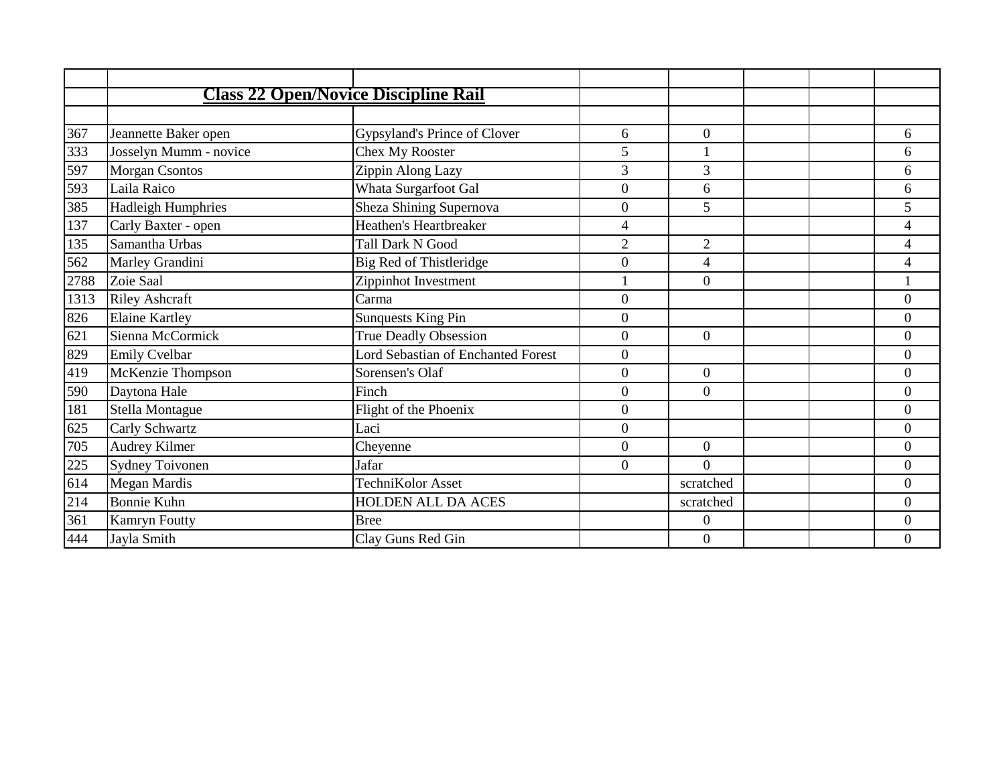|      |                           | <b>Class 22 Open/Novice Discipline Rail</b> |                  |                  |  |                  |
|------|---------------------------|---------------------------------------------|------------------|------------------|--|------------------|
|      |                           |                                             |                  |                  |  |                  |
| 367  | Jeannette Baker open      | Gypsyland's Prince of Clover                | 6                | $\theta$         |  | 6                |
| 333  | Josselyn Mumm - novice    | <b>Chex My Rooster</b>                      | 5                |                  |  | 6                |
| 597  | <b>Morgan Csontos</b>     | Zippin Along Lazy                           | 3                | 3                |  | 6                |
| 593  | Laila Raico               | Whata Surgarfoot Gal                        | $\overline{0}$   | 6                |  | 6                |
| 385  | <b>Hadleigh Humphries</b> | Sheza Shining Supernova                     | $\overline{0}$   | 5                |  | 5                |
| 137  | Carly Baxter - open       | Heathen's Heartbreaker                      | 4                |                  |  | $\overline{4}$   |
| 135  | Samantha Urbas            | <b>Tall Dark N Good</b>                     | $\overline{2}$   | $\overline{2}$   |  | 4                |
| 562  | Marley Grandini           | Big Red of Thistleridge                     | $\boldsymbol{0}$ | 4                |  | 4                |
| 2788 | Zoie Saal                 | Zippinhot Investment                        |                  | $\boldsymbol{0}$ |  |                  |
| 1313 | <b>Riley Ashcraft</b>     | Carma                                       | $\overline{0}$   |                  |  | $\overline{0}$   |
| 826  | <b>Elaine Kartley</b>     | <b>Sunquests King Pin</b>                   | $\Omega$         |                  |  | $\boldsymbol{0}$ |
| 621  | Sienna McCormick          | True Deadly Obsession                       | $\overline{0}$   | $\overline{0}$   |  | $\overline{0}$   |
| 829  | <b>Emily Cvelbar</b>      | <b>Lord Sebastian of Enchanted Forest</b>   | $\overline{0}$   |                  |  | $\boldsymbol{0}$ |
| 419  | McKenzie Thompson         | Sorensen's Olaf                             | $\Omega$         | $\Omega$         |  | $\overline{0}$   |
| 590  | Daytona Hale              | Finch                                       | $\Omega$         | $\Omega$         |  | $\overline{0}$   |
| 181  | Stella Montague           | Flight of the Phoenix                       | $\boldsymbol{0}$ |                  |  | $\boldsymbol{0}$ |
| 625  | Carly Schwartz            | Laci                                        | $\overline{0}$   |                  |  | $\overline{0}$   |
| 705  | Audrey Kilmer             | Cheyenne                                    | $\Omega$         | $\overline{0}$   |  | $\overline{0}$   |
| 225  | <b>Sydney Toivonen</b>    | Jafar                                       | $\Omega$         | $\Omega$         |  | $\boldsymbol{0}$ |
| 614  | Megan Mardis              | TechniKolor Asset                           |                  | scratched        |  | $\overline{0}$   |
| 214  | <b>Bonnie Kuhn</b>        | HOLDEN ALL DA ACES                          |                  | scratched        |  | $\boldsymbol{0}$ |
| 361  | Kamryn Foutty             | <b>Bree</b>                                 |                  | $\Omega$         |  | $\overline{0}$   |
| 444  | Jayla Smith               | Clay Guns Red Gin                           |                  | $\mathbf{0}$     |  | $\boldsymbol{0}$ |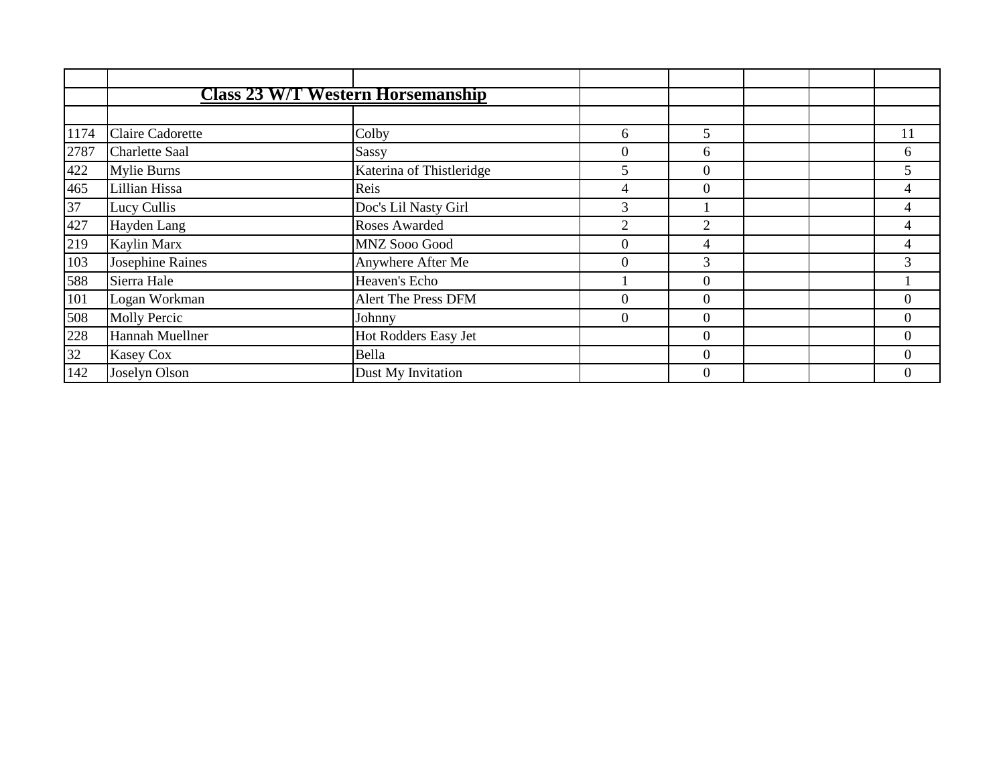|      | <b>Class 23 W/T Western Horsemanship</b> |                          |                |                |  |                |
|------|------------------------------------------|--------------------------|----------------|----------------|--|----------------|
|      |                                          |                          |                |                |  |                |
| 1174 | <b>Claire Cadorette</b>                  | Colby                    | 6              | 5              |  | 11             |
| 2787 | <b>Charlette Saal</b>                    | Sassy                    | $\overline{0}$ | 6              |  | 6              |
| 422  | <b>Mylie Burns</b>                       | Katerina of Thistleridge | 5              | $\Omega$       |  | 5              |
| 465  | Lillian Hissa                            | Reis                     | 4              | $\Omega$       |  |                |
| 37   | Lucy Cullis                              | Doc's Lil Nasty Girl     | 3              |                |  | 4              |
| 427  | Hayden Lang                              | Roses Awarded            | $\overline{2}$ | $\overline{2}$ |  | 4              |
| 219  | Kaylin Marx                              | MNZ Sooo Good            | $\overline{0}$ | 4              |  | $\overline{4}$ |
| 103  | Josephine Raines                         | Anywhere After Me        | $\Omega$       | 3              |  | 3              |
| 588  | Sierra Hale                              | Heaven's Echo            |                | $\theta$       |  |                |
| 101  | Logan Workman                            | Alert The Press DFM      | $\Omega$       | $\Omega$       |  | $\overline{0}$ |
| 508  | <b>Molly Percic</b>                      | Johnny                   | $\overline{0}$ | $\Omega$       |  | $\overline{0}$ |
| 228  | Hannah Muellner                          | Hot Rodders Easy Jet     |                | $\overline{0}$ |  | $\overline{0}$ |
| 32   | <b>Kasey Cox</b>                         | Bella                    |                | $\Omega$       |  | $\Omega$       |
| 142  | Joselyn Olson                            | Dust My Invitation       |                | $\theta$       |  |                |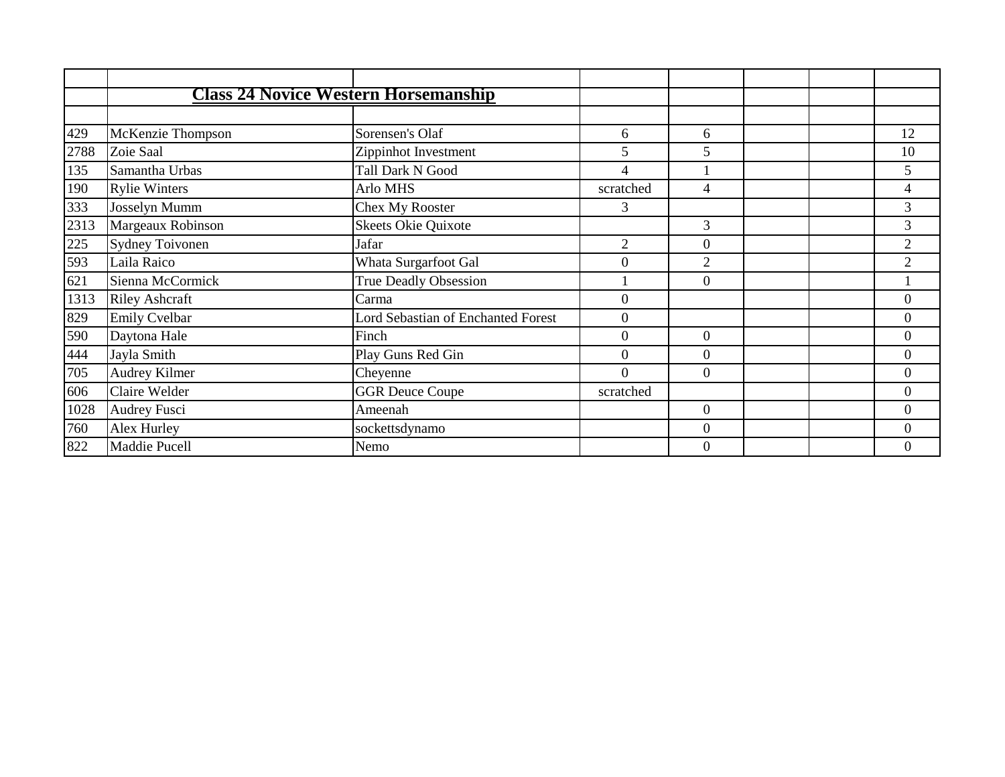|      | <b>Class 24 Novice Western Horsemanship</b> |                                           |                  |                  |  |                  |
|------|---------------------------------------------|-------------------------------------------|------------------|------------------|--|------------------|
|      |                                             |                                           |                  |                  |  |                  |
| 429  | McKenzie Thompson                           | Sorensen's Olaf                           | 6                | 6                |  | 12               |
| 2788 | Zoie Saal                                   | Zippinhot Investment                      | 5                | 5                |  | 10               |
| 135  | Samantha Urbas                              | <b>Tall Dark N Good</b>                   | 4                |                  |  | 5                |
| 190  | <b>Rylie Winters</b>                        | Arlo MHS                                  | scratched        | 4                |  | 4                |
| 333  | Josselyn Mumm                               | <b>Chex My Rooster</b>                    | 3                |                  |  | 3                |
| 2313 | Margeaux Robinson                           | <b>Skeets Okie Quixote</b>                |                  | 3                |  | $\overline{3}$   |
| 225  | <b>Sydney Toivonen</b>                      | Jafar                                     | 2                | $\theta$         |  | $\overline{2}$   |
| 593  | Laila Raico                                 | Whata Surgarfoot Gal                      | $\Omega$         | 2                |  | 2                |
| 621  | Sienna McCormick                            | <b>True Deadly Obsession</b>              |                  | $\Omega$         |  |                  |
| 1313 | <b>Riley Ashcraft</b>                       | Carma                                     | $\Omega$         |                  |  | $\overline{0}$   |
| 829  | <b>Emily Cvelbar</b>                        | <b>Lord Sebastian of Enchanted Forest</b> | $\overline{0}$   |                  |  | $\boldsymbol{0}$ |
| 590  | Daytona Hale                                | Finch                                     | $\boldsymbol{0}$ | $\theta$         |  | $\boldsymbol{0}$ |
| 444  | Jayla Smith                                 | Play Guns Red Gin                         | $\overline{0}$   | $\theta$         |  | $\overline{0}$   |
| 705  | Audrey Kilmer                               | Cheyenne                                  | $\Omega$         | $\Omega$         |  | $\overline{0}$   |
| 606  | Claire Welder                               | <b>GGR Deuce Coupe</b>                    | scratched        |                  |  | $\overline{0}$   |
| 1028 | <b>Audrey Fusci</b>                         | Ameenah                                   |                  | $\overline{0}$   |  | $\boldsymbol{0}$ |
| 760  | Alex Hurley                                 | sockettsdynamo                            |                  | $\boldsymbol{0}$ |  | $\overline{0}$   |
| 822  | Maddie Pucell                               | Nemo                                      |                  | $\Omega$         |  | $\overline{0}$   |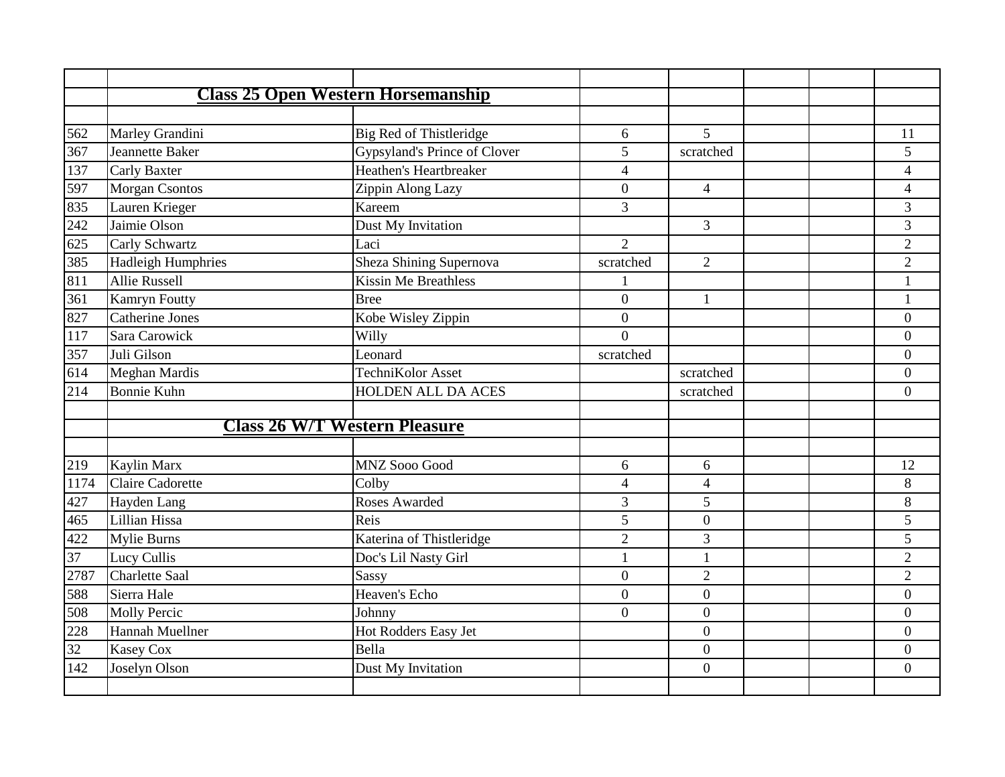|      |                           | <b>Class 25 Open Western Horsemanship</b> |                |                  |                |
|------|---------------------------|-------------------------------------------|----------------|------------------|----------------|
|      |                           |                                           |                |                  |                |
| 562  | Marley Grandini           | Big Red of Thistleridge                   | 6              | 5                | 11             |
| 367  | <b>Jeannette Baker</b>    | Gypsyland's Prince of Clover              | 5              | scratched        | 5              |
| 137  | <b>Carly Baxter</b>       | Heathen's Heartbreaker                    | $\overline{4}$ |                  | $\overline{4}$ |
| 597  | <b>Morgan Csontos</b>     | Zippin Along Lazy                         | $\overline{0}$ | $\overline{4}$   | $\overline{4}$ |
| 835  | Lauren Krieger            | Kareem                                    | 3              |                  | 3              |
| 242  | Jaimie Olson              | Dust My Invitation                        |                | 3                | 3              |
| 625  | Carly Schwartz            | Laci                                      | $\overline{2}$ |                  | $\overline{2}$ |
| 385  | <b>Hadleigh Humphries</b> | Sheza Shining Supernova                   | scratched      | 2                | $\overline{2}$ |
| 811  | <b>Allie Russell</b>      | <b>Kissin Me Breathless</b>               |                |                  | $\mathbf{1}$   |
| 361  | <b>Kamryn Foutty</b>      | <b>Bree</b>                               | $\overline{0}$ | $\mathbf{1}$     | $\mathbf{1}$   |
| 827  | <b>Catherine Jones</b>    | Kobe Wisley Zippin                        | $\overline{0}$ |                  | $\overline{0}$ |
| 117  | Sara Carowick             | Willy                                     | $\Omega$       |                  | $\Omega$       |
| 357  | Juli Gilson               | Leonard                                   | scratched      |                  | $\overline{0}$ |
| 614  | Meghan Mardis             | TechniKolor Asset                         |                | scratched        | $\Omega$       |
| 214  | <b>Bonnie Kuhn</b>        | HOLDEN ALL DA ACES                        |                | scratched        | $\overline{0}$ |
|      |                           |                                           |                |                  |                |
|      |                           | <b>Class 26 W/T Western Pleasure</b>      |                |                  |                |
| 219  | Kaylin Marx               | MNZ Sooo Good                             | 6              | 6                | 12             |
| 1174 | <b>Claire Cadorette</b>   | Colby                                     | 4              | $\overline{4}$   | 8              |
| 427  | Hayden Lang               | Roses Awarded                             | $\overline{3}$ | 5                | 8              |
| 465  | Lillian Hissa             | Reis                                      | $\overline{5}$ | $\overline{0}$   | 5              |
| 422  | Mylie Burns               | Katerina of Thistleridge                  | $\overline{2}$ | 3                | 5              |
| 37   | Lucy Cullis               | Doc's Lil Nasty Girl                      | 1              | $\mathbf{1}$     | $\overline{2}$ |
| 2787 | <b>Charlette Saal</b>     | Sassy                                     | $\overline{0}$ | $\overline{2}$   | $\overline{2}$ |
| 588  | Sierra Hale               | Heaven's Echo                             | $\overline{0}$ | $\overline{0}$   | $\overline{0}$ |
| 508  | <b>Molly Percic</b>       | Johnny                                    | $\overline{0}$ | $\overline{0}$   | $\overline{0}$ |
| 228  | Hannah Muellner           | Hot Rodders Easy Jet                      |                | $\overline{0}$   | $\overline{0}$ |
| 32   | Kasey Cox                 | Bella                                     |                | $\overline{0}$   | $\overline{0}$ |
|      | Joselyn Olson             | Dust My Invitation                        |                | $\boldsymbol{0}$ | $\overline{0}$ |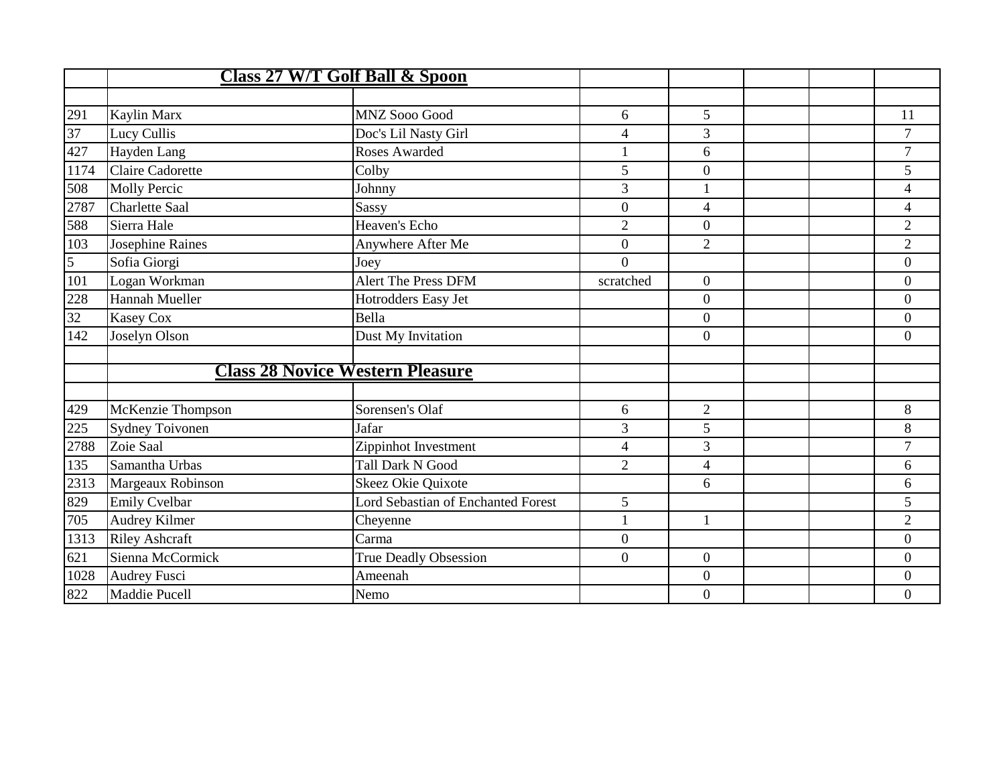|      |                        | <b>Class 27 W/T Golf Ball &amp; Spoon</b> |                  |                |  |                         |
|------|------------------------|-------------------------------------------|------------------|----------------|--|-------------------------|
|      |                        |                                           |                  |                |  |                         |
| 291  | Kaylin Marx            | <b>MNZ Sooo Good</b>                      | 6                | 5              |  | 11                      |
| 37   | Lucy Cullis            | Doc's Lil Nasty Girl                      | $\overline{4}$   | 3              |  | $\overline{7}$          |
| 427  | Hayden Lang            | Roses Awarded                             | 1                | 6              |  | $\overline{7}$          |
| 1174 | Claire Cadorette       | Colby                                     | 5                | $\overline{0}$ |  | 5                       |
| 508  | <b>Molly Percic</b>    | Johnny                                    | 3                | 1              |  | $\overline{\mathbf{4}}$ |
| 2787 | <b>Charlette Saal</b>  | Sassy                                     | $\overline{0}$   | $\overline{4}$ |  | $\overline{4}$          |
| 588  | Sierra Hale            | Heaven's Echo                             | $\overline{c}$   | $\overline{0}$ |  | $\overline{c}$          |
| 103  | Josephine Raines       | Anywhere After Me                         | $\overline{0}$   | $\overline{2}$ |  | $\overline{2}$          |
| 5    | Sofia Giorgi           | Joey                                      | $\Omega$         |                |  | $\overline{0}$          |
| 101  | Logan Workman          | <b>Alert The Press DFM</b>                | scratched        | $\overline{0}$ |  | $\overline{0}$          |
| 228  | Hannah Mueller         | Hotrodders Easy Jet                       |                  | $\overline{0}$ |  | $\overline{0}$          |
| 32   | <b>Kasey Cox</b>       | Bella                                     |                  | $\overline{0}$ |  | $\overline{0}$          |
| 142  | Joselyn Olson          | Dust My Invitation                        |                  | $\overline{0}$ |  | $\overline{0}$          |
|      |                        |                                           |                  |                |  |                         |
|      |                        | <b>Class 28 Novice Western Pleasure</b>   |                  |                |  |                         |
|      |                        |                                           |                  |                |  |                         |
| 429  | McKenzie Thompson      | Sorensen's Olaf                           | 6                | $\overline{2}$ |  | 8                       |
| 225  | <b>Sydney Toivonen</b> | Jafar                                     | 3                | 5              |  | 8                       |
| 2788 | Zoie Saal              | Zippinhot Investment                      | $\overline{4}$   | 3              |  | $\overline{7}$          |
| 135  | Samantha Urbas         | <b>Tall Dark N Good</b>                   | $\overline{2}$   | $\overline{4}$ |  | 6                       |
| 2313 | Margeaux Robinson      | Skeez Okie Quixote                        |                  | 6              |  | 6                       |
| 829  | <b>Emily Cvelbar</b>   | <b>Lord Sebastian of Enchanted Forest</b> | 5                |                |  | 5                       |
| 705  | Audrey Kilmer          | Cheyenne                                  | 1                | 1              |  | $\overline{2}$          |
| 1313 | <b>Riley Ashcraft</b>  | Carma                                     | $\boldsymbol{0}$ |                |  | $\overline{0}$          |
| 621  | Sienna McCormick       | <b>True Deadly Obsession</b>              | $\overline{0}$   | $\overline{0}$ |  | $\overline{0}$          |
| 1028 | Audrey Fusci           | Ameenah                                   |                  | $\overline{0}$ |  | $\theta$                |
| 822  | Maddie Pucell          | Nemo                                      |                  | $\overline{0}$ |  | $\overline{0}$          |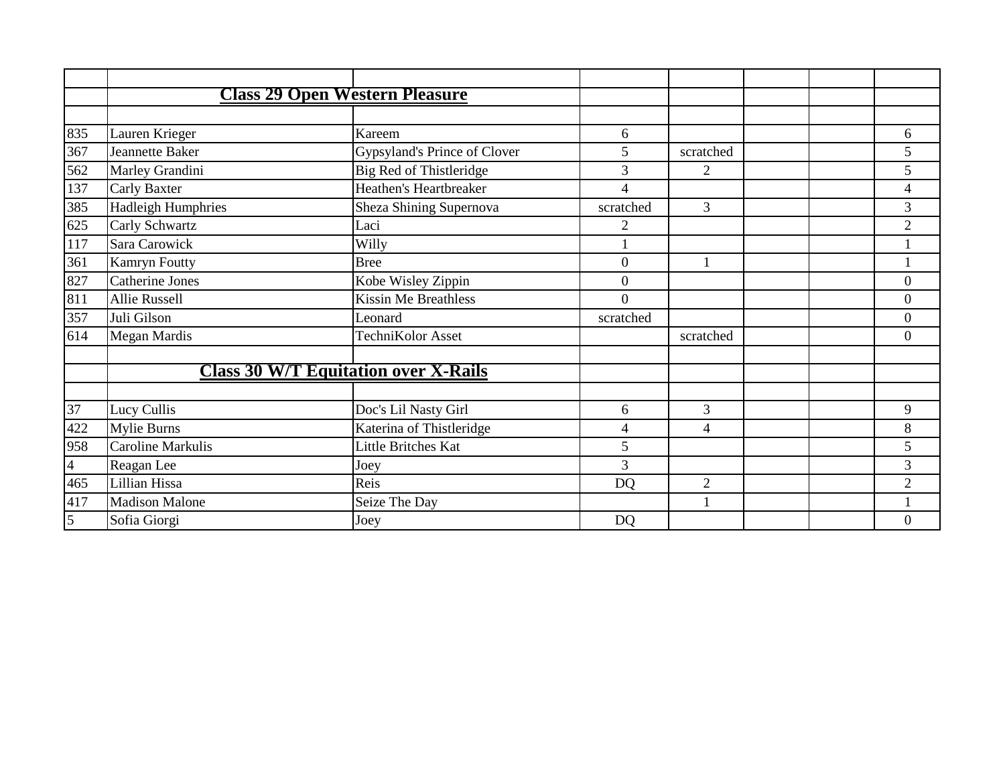|                | <b>Class 29 Open Western Pleasure</b>       |                              |                  |                |  |                          |
|----------------|---------------------------------------------|------------------------------|------------------|----------------|--|--------------------------|
|                |                                             |                              |                  |                |  |                          |
| 835            | Lauren Krieger                              | Kareem                       | 6                |                |  | 6                        |
| 367            | Jeannette Baker                             | Gypsyland's Prince of Clover | 5                | scratched      |  | 5                        |
| 562            | Marley Grandini                             | Big Red of Thistleridge      | $\overline{3}$   | $\overline{2}$ |  | 5                        |
| 137            | <b>Carly Baxter</b>                         | Heathen's Heartbreaker       | 4                |                |  | $\overline{\mathcal{A}}$ |
| 385            | <b>Hadleigh Humphries</b>                   | Sheza Shining Supernova      | scratched        | 3              |  | 3                        |
| 625            | Carly Schwartz                              | Laci                         | $\overline{2}$   |                |  | $\overline{2}$           |
| 117            | Sara Carowick                               | Willy                        |                  |                |  |                          |
| 361            | <b>Kamryn Foutty</b>                        | <b>Bree</b>                  | $\boldsymbol{0}$ |                |  |                          |
| 827            | Catherine Jones                             | Kobe Wisley Zippin           | $\overline{0}$   |                |  | $\overline{0}$           |
| 811            | <b>Allie Russell</b>                        | <b>Kissin Me Breathless</b>  | $\Omega$         |                |  | $\overline{0}$           |
| 357            | Juli Gilson                                 | Leonard                      | scratched        |                |  | $\overline{0}$           |
| 614            | <b>Megan Mardis</b>                         | TechniKolor Asset            |                  | scratched      |  | $\theta$                 |
|                |                                             |                              |                  |                |  |                          |
|                | <b>Class 30 W/T Equitation over X-Rails</b> |                              |                  |                |  |                          |
|                |                                             |                              |                  |                |  |                          |
| 37             | Lucy Cullis                                 | Doc's Lil Nasty Girl         | 6                | 3              |  | 9                        |
| 422            | <b>Mylie Burns</b>                          | Katerina of Thistleridge     | 4                | $\overline{4}$ |  | 8                        |
| 958            | Caroline Markulis                           | Little Britches Kat          | 5                |                |  | 5                        |
| $\overline{4}$ | Reagan Lee                                  | Joey                         | 3                |                |  | 3                        |
| 465            | Lillian Hissa                               | Reis                         | <b>DQ</b>        | $\overline{2}$ |  | $\overline{2}$           |
| 417            | <b>Madison Malone</b>                       | Seize The Day                |                  |                |  |                          |
| $\overline{5}$ | Sofia Giorgi                                | Joey                         | <b>DQ</b>        |                |  | $\boldsymbol{0}$         |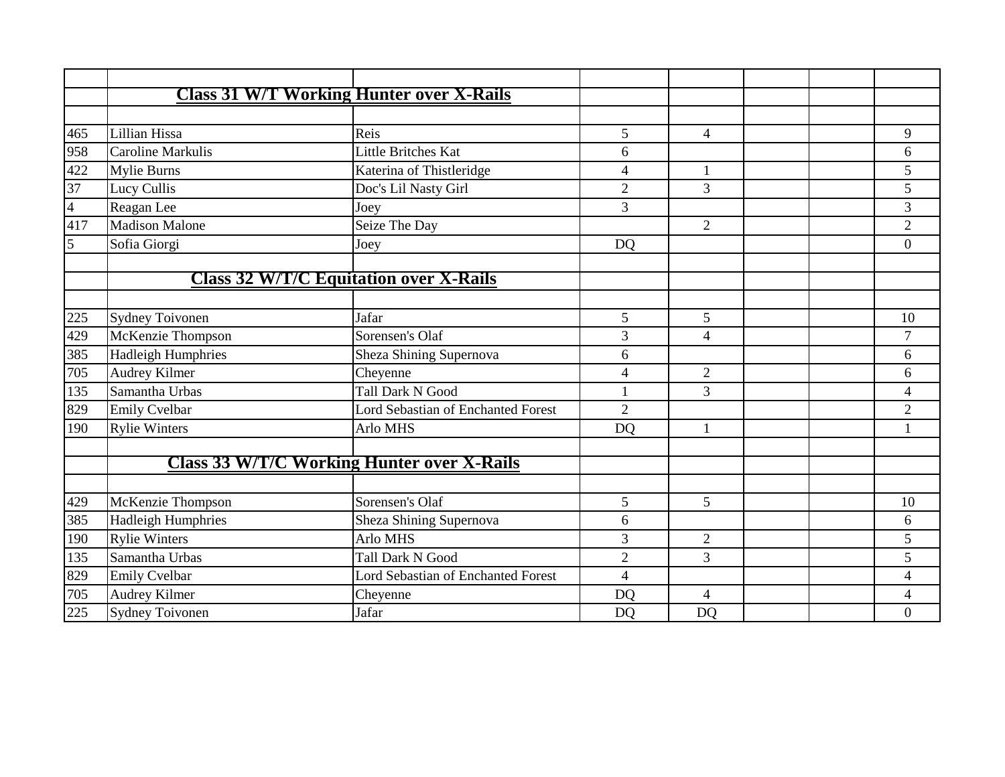|                |                           | <b>Class 31 W/T Working Hunter over X-Rails</b>   |                |                |  |                |
|----------------|---------------------------|---------------------------------------------------|----------------|----------------|--|----------------|
|                |                           |                                                   |                |                |  |                |
| 465            | Lillian Hissa             | Reis                                              | 5              | $\overline{4}$ |  | 9              |
| 958            | <b>Caroline Markulis</b>  | <b>Little Britches Kat</b>                        | 6              |                |  | 6              |
| 422            | <b>Mylie Burns</b>        | Katerina of Thistleridge                          | $\overline{4}$ | $\mathbf{1}$   |  | 5              |
| 37             | Lucy Cullis               | Doc's Lil Nasty Girl                              | $\overline{2}$ | 3              |  | 5              |
| $\overline{4}$ | Reagan Lee                | Joey                                              | 3              |                |  | $\overline{3}$ |
| 417            | <b>Madison Malone</b>     | Seize The Day                                     |                | $\overline{2}$ |  | $\overline{2}$ |
| 5              | Sofia Giorgi              | Joey                                              | <b>DQ</b>      |                |  | $\overline{0}$ |
|                |                           |                                                   |                |                |  |                |
|                |                           | <b>Class 32 W/T/C Equitation over X-Rails</b>     |                |                |  |                |
|                |                           |                                                   |                |                |  |                |
| 225            | <b>Sydney Toivonen</b>    | Jafar                                             | 5              | 5              |  | 10             |
| 429            | McKenzie Thompson         | Sorensen's Olaf                                   | 3              | $\overline{4}$ |  | 7              |
| 385            | <b>Hadleigh Humphries</b> | Sheza Shining Supernova                           | 6              |                |  | 6              |
| 705            | Audrey Kilmer             | Cheyenne                                          | $\overline{4}$ | $\overline{2}$ |  | 6              |
| 135            | Samantha Urbas            | <b>Tall Dark N Good</b>                           | 1              | $\overline{3}$ |  | 4              |
| 829            | <b>Emily Cvelbar</b>      | <b>Lord Sebastian of Enchanted Forest</b>         | $\overline{2}$ |                |  | $\overline{2}$ |
| 190            | <b>Rylie Winters</b>      | Arlo MHS                                          | <b>DQ</b>      | $\mathbf{1}$   |  |                |
|                |                           |                                                   |                |                |  |                |
|                |                           | <b>Class 33 W/T/C Working Hunter over X-Rails</b> |                |                |  |                |
|                |                           |                                                   |                |                |  |                |
| 429            | McKenzie Thompson         | Sorensen's Olaf                                   | 5              | 5              |  | 10             |
| 385            | <b>Hadleigh Humphries</b> | Sheza Shining Supernova                           | 6              |                |  | 6              |
| 190            | <b>Rylie Winters</b>      | Arlo MHS                                          | 3              | $\overline{2}$ |  | 5              |
| 135            | Samantha Urbas            | <b>Tall Dark N Good</b>                           | $\overline{2}$ | 3              |  | 5              |
| 829            | <b>Emily Cvelbar</b>      | <b>Lord Sebastian of Enchanted Forest</b>         | $\overline{4}$ |                |  | 4              |
| 705            | Audrey Kilmer             | Cheyenne                                          | <b>DO</b>      | $\overline{4}$ |  | 4              |
| 225            | <b>Sydney Toivonen</b>    | Jafar                                             | <b>DO</b>      | <b>DO</b>      |  | $\overline{0}$ |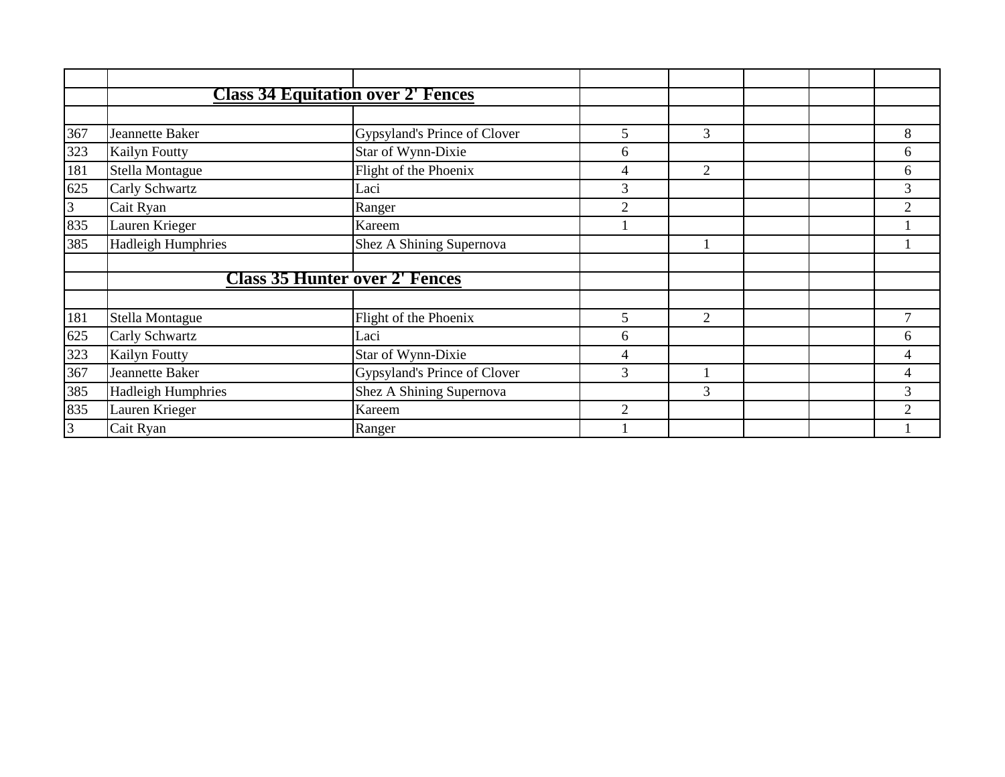|     |                           | <b>Class 34 Equitation over 2' Fences</b> |                             |                |  |                          |
|-----|---------------------------|-------------------------------------------|-----------------------------|----------------|--|--------------------------|
|     |                           |                                           |                             |                |  |                          |
| 367 | Jeannette Baker           | Gypsyland's Prince of Clover              | 5                           | 3              |  | 8                        |
| 323 | <b>Kailyn Foutty</b>      | Star of Wynn-Dixie                        | 6                           |                |  | 6                        |
| 181 | Stella Montague           | Flight of the Phoenix                     | 4                           | 2              |  | 6                        |
| 625 | Carly Schwartz            | Laci                                      | 3                           |                |  | $\overline{3}$           |
| 3   | Cait Ryan                 | Ranger                                    | $\overline{2}$              |                |  | $\overline{2}$           |
| 835 | Lauren Krieger            | Kareem                                    |                             |                |  |                          |
| 385 | <b>Hadleigh Humphries</b> | Shez A Shining Supernova                  |                             |                |  |                          |
|     |                           |                                           |                             |                |  |                          |
|     |                           | <b>Class 35 Hunter over 2' Fences</b>     |                             |                |  |                          |
|     |                           |                                           |                             |                |  |                          |
| 181 | Stella Montague           | Flight of the Phoenix                     | 5                           | 2              |  |                          |
| 625 | Carly Schwartz            | Laci                                      | 6                           |                |  | 6                        |
| 323 | Kailyn Foutty             | Star of Wynn-Dixie                        | 4                           |                |  | 4                        |
| 367 | Jeannette Baker           | Gypsyland's Prince of Clover              | 3                           |                |  | $\overline{\mathcal{A}}$ |
| 385 | <b>Hadleigh Humphries</b> | Shez A Shining Supernova                  |                             | $\overline{3}$ |  | 3                        |
| 835 | Lauren Krieger            | Kareem                                    | $\mathcal{D}_{\mathcal{L}}$ |                |  | 2                        |
| 3   | Cait Ryan                 | Ranger                                    |                             |                |  |                          |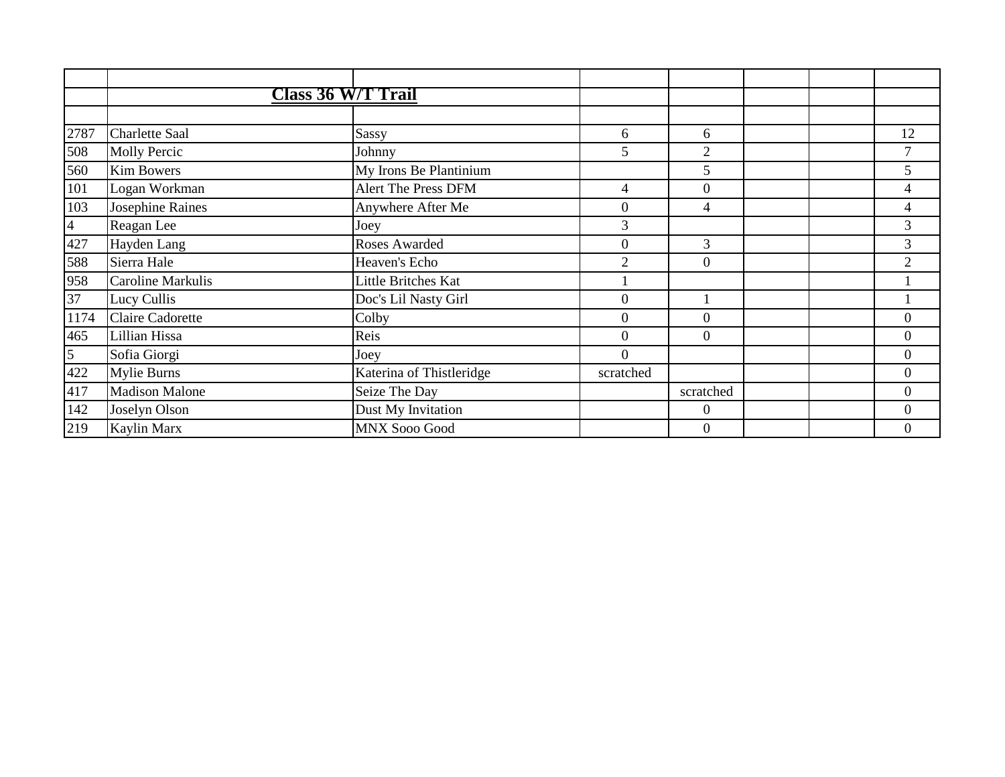|                | <b>Class 36 W/T Trail</b> |                          |                  |                  |  |                  |
|----------------|---------------------------|--------------------------|------------------|------------------|--|------------------|
|                |                           |                          |                  |                  |  |                  |
| 2787           | <b>Charlette Saal</b>     | Sassy                    | 6                | 6                |  | 12               |
| 508            | <b>Molly Percic</b>       | Johnny                   | 5                | $\overline{2}$   |  | 7                |
| 560            | <b>Kim Bowers</b>         | My Irons Be Plantinium   |                  | 5                |  | $5\overline{)}$  |
| 101            | Logan Workman             | Alert The Press DFM      | 4                | $\theta$         |  | 4                |
| 103            | Josephine Raines          | Anywhere After Me        | $\overline{0}$   | 4                |  | 4                |
| $\overline{4}$ | Reagan Lee                | Joey                     | 3                |                  |  | 3                |
| 427            | Hayden Lang               | Roses Awarded            | $\boldsymbol{0}$ | 3                |  | 3                |
| 588            | Sierra Hale               | Heaven's Echo            | $\overline{2}$   | $\boldsymbol{0}$ |  | $\overline{2}$   |
| 958            | <b>Caroline Markulis</b>  | Little Britches Kat      |                  |                  |  |                  |
| 37             | Lucy Cullis               | Doc's Lil Nasty Girl     | $\Omega$         |                  |  |                  |
| 1174           | Claire Cadorette          | Colby                    | $\overline{0}$   | $\theta$         |  | $\overline{0}$   |
| 465            | Lillian Hissa             | Reis                     | $\Omega$         | $\Omega$         |  | $\overline{0}$   |
| 5              | Sofia Giorgi              | Joey                     | $\mathbf{0}$     |                  |  | $\boldsymbol{0}$ |
| 422            | <b>Mylie Burns</b>        | Katerina of Thistleridge | scratched        |                  |  | $\boldsymbol{0}$ |
| 417            | <b>Madison Malone</b>     | Seize The Day            |                  | scratched        |  | $\boldsymbol{0}$ |
| 142            | Joselyn Olson             | Dust My Invitation       |                  | $\Omega$         |  | $\overline{0}$   |
| 219            | Kaylin Marx               | <b>MNX Sooo Good</b>     |                  | $\boldsymbol{0}$ |  | $\mathbf{0}$     |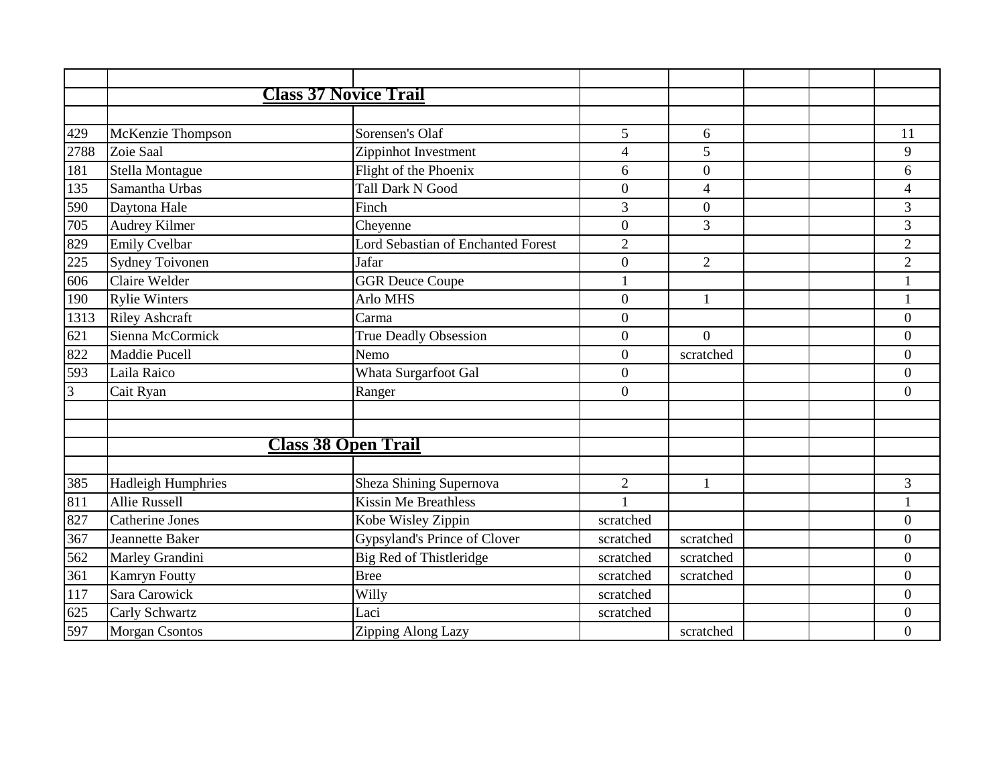|      | <b>Class 37 Novice Trail</b> |                                           |                         |                  |  |                  |
|------|------------------------------|-------------------------------------------|-------------------------|------------------|--|------------------|
|      |                              |                                           |                         |                  |  |                  |
| 429  | McKenzie Thompson            | Sorensen's Olaf                           | 5                       | 6                |  | 11               |
| 2788 | Zoie Saal                    | Zippinhot Investment                      | $\overline{\mathbf{4}}$ | 5                |  | 9                |
| 181  | Stella Montague              | Flight of the Phoenix                     | 6                       | $\boldsymbol{0}$ |  | 6                |
| 135  | Samantha Urbas               | <b>Tall Dark N Good</b>                   | $\boldsymbol{0}$        | $\overline{4}$   |  | $\overline{4}$   |
| 590  | Daytona Hale                 | Finch                                     | 3                       | $\overline{0}$   |  | 3                |
| 705  | Audrey Kilmer                | Cheyenne                                  | $\overline{0}$          | 3                |  | 3                |
| 829  | <b>Emily Cvelbar</b>         | <b>Lord Sebastian of Enchanted Forest</b> | $\overline{2}$          |                  |  | $\overline{c}$   |
| 225  | Sydney Toivonen              | Jafar                                     | $\overline{0}$          | $\overline{2}$   |  | $\overline{2}$   |
| 606  | Claire Welder                | <b>GGR Deuce Coupe</b>                    | $\mathbf{1}$            |                  |  | $\mathbf{1}$     |
| 190  | <b>Rylie Winters</b>         | Arlo MHS                                  | $\boldsymbol{0}$        | $\mathbf{1}$     |  |                  |
| 1313 | <b>Riley Ashcraft</b>        | Carma                                     | $\boldsymbol{0}$        |                  |  | $\overline{0}$   |
| 621  | Sienna McCormick             | True Deadly Obsession                     | $\boldsymbol{0}$        | $\Omega$         |  | $\overline{0}$   |
| 822  | Maddie Pucell                | Nemo                                      | $\overline{0}$          | scratched        |  | $\overline{0}$   |
| 593  | Laila Raico                  | Whata Surgarfoot Gal                      | $\boldsymbol{0}$        |                  |  | $\overline{0}$   |
| 3    | Cait Ryan                    | Ranger                                    | $\boldsymbol{0}$        |                  |  | $\overline{0}$   |
|      |                              |                                           |                         |                  |  |                  |
|      |                              |                                           |                         |                  |  |                  |
|      | <b>Class 38 Open Trail</b>   |                                           |                         |                  |  |                  |
|      |                              |                                           |                         |                  |  |                  |
| 385  | <b>Hadleigh Humphries</b>    | Sheza Shining Supernova                   | $\overline{2}$          | $\mathbf{1}$     |  | 3                |
| 811  | <b>Allie Russell</b>         | <b>Kissin Me Breathless</b>               | $\mathbf{1}$            |                  |  |                  |
| 827  | <b>Catherine Jones</b>       | Kobe Wisley Zippin                        | scratched               |                  |  | $\overline{0}$   |
| 367  | Jeannette Baker              | Gypsyland's Prince of Clover              | scratched               | scratched        |  | $\overline{0}$   |
| 562  | Marley Grandini              | Big Red of Thistleridge                   | scratched               | scratched        |  | $\boldsymbol{0}$ |
| 361  | Kamryn Foutty                | <b>Bree</b>                               | scratched               | scratched        |  | $\overline{0}$   |
| 117  | Sara Carowick                | Willy                                     | scratched               |                  |  | $\overline{0}$   |
| 625  | Carly Schwartz               | Laci                                      | scratched               |                  |  | $\overline{0}$   |
| 597  | <b>Morgan Csontos</b>        | Zipping Along Lazy                        |                         | scratched        |  | $\overline{0}$   |